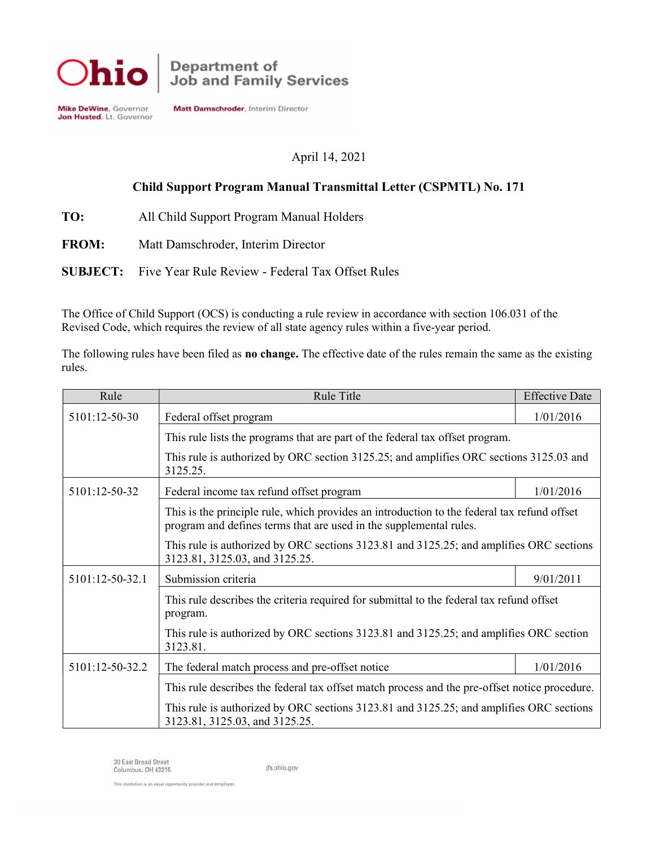

**Mike DeWine**, Governor<br>**Jon Husted**, Lt. Governor

Matt Damschroder, Interim Director

# April 14, 2021

# Child Support Program Manual Transmittal Letter (CSPMTL) No. 171

- TO: All Child Support Program Manual Holders
- FROM: Matt Damschroder, Interim Director
- SUBJECT: Five Year Rule Review Federal Tax Offset Rules

The Office of Child Support (OCS) is conducting a rule review in accordance with section 106.031 of the Revised Code, which requires the review of all state agency rules within a five-year period.

The following rules have been filed as **no change.** The effective date of the rules remain the same as the existing rules.

| Rule            | Rule Title                                                                                                                                                        | <b>Effective Date</b> |
|-----------------|-------------------------------------------------------------------------------------------------------------------------------------------------------------------|-----------------------|
| 5101:12-50-30   | Federal offset program                                                                                                                                            | 1/01/2016             |
|                 | This rule lists the programs that are part of the federal tax offset program.                                                                                     |                       |
|                 | This rule is authorized by ORC section 3125.25; and amplifies ORC sections 3125.03 and<br>3125.25.                                                                |                       |
| 5101:12-50-32   | Federal income tax refund offset program                                                                                                                          |                       |
|                 | This is the principle rule, which provides an introduction to the federal tax refund offset<br>program and defines terms that are used in the supplemental rules. |                       |
|                 | This rule is authorized by ORC sections 3123.81 and 3125.25; and amplifies ORC sections<br>3123.81, 3125.03, and 3125.25.                                         |                       |
| 5101:12-50-32.1 | Submission criteria<br>9/01/2011                                                                                                                                  |                       |
|                 | This rule describes the criteria required for submittal to the federal tax refund offset<br>program.                                                              |                       |
|                 | This rule is authorized by ORC sections 3123.81 and 3125.25; and amplifies ORC section<br>3123.81.                                                                |                       |
| 5101:12-50-32.2 | The federal match process and pre-offset notice                                                                                                                   | 1/01/2016             |
|                 | This rule describes the federal tax offset match process and the pre-offset notice procedure.                                                                     |                       |
|                 | This rule is authorized by ORC sections 3123.81 and 3125.25; and amplifies ORC sections<br>3123.81, 3125.03, and 3125.25.                                         |                       |

30 East Broad Street Columbus, OH 43215

jfs.ohio.gov

This institution is an equal opportunity provider and employer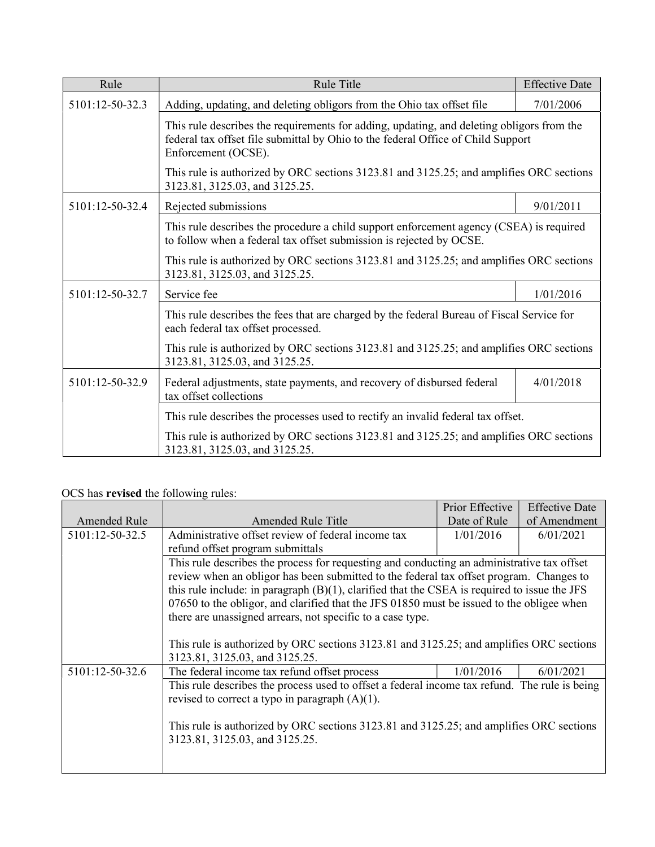| Rule            | Rule Title                                                                                                                                                                                                                                                                               | <b>Effective Date</b> |
|-----------------|------------------------------------------------------------------------------------------------------------------------------------------------------------------------------------------------------------------------------------------------------------------------------------------|-----------------------|
| 5101:12-50-32.3 | Adding, updating, and deleting obligors from the Ohio tax offset file                                                                                                                                                                                                                    |                       |
|                 | This rule describes the requirements for adding, updating, and deleting obligors from the<br>federal tax offset file submittal by Ohio to the federal Office of Child Support<br>Enforcement (OCSE).                                                                                     |                       |
|                 | This rule is authorized by ORC sections 3123.81 and 3125.25; and amplifies ORC sections<br>3123.81, 3125.03, and 3125.25.                                                                                                                                                                |                       |
| 5101:12-50-32.4 | Rejected submissions                                                                                                                                                                                                                                                                     | 9/01/2011             |
|                 | This rule describes the procedure a child support enforcement agency (CSEA) is required<br>to follow when a federal tax offset submission is rejected by OCSE.                                                                                                                           |                       |
|                 | This rule is authorized by ORC sections 3123.81 and 3125.25; and amplifies ORC sections<br>3123.81, 3125.03, and 3125.25.                                                                                                                                                                |                       |
| 5101:12-50-32.7 | 1/01/2016<br>Service fee<br>This rule describes the fees that are charged by the federal Bureau of Fiscal Service for<br>each federal tax offset processed.<br>This rule is authorized by ORC sections 3123.81 and 3125.25; and amplifies ORC sections<br>3123.81, 3125.03, and 3125.25. |                       |
|                 |                                                                                                                                                                                                                                                                                          |                       |
|                 |                                                                                                                                                                                                                                                                                          |                       |
| 5101:12-50-32.9 | Federal adjustments, state payments, and recovery of disbursed federal<br>tax offset collections                                                                                                                                                                                         | 4/01/2018             |
|                 | This rule describes the processes used to rectify an invalid federal tax offset.                                                                                                                                                                                                         |                       |
|                 | This rule is authorized by ORC sections 3123.81 and 3125.25; and amplifies ORC sections<br>3123.81, 3125.03, and 3125.25.                                                                                                                                                                |                       |

# OCS has revised the following rules:

|                 |                                                                                                 | Prior Effective | <b>Effective Date</b> |
|-----------------|-------------------------------------------------------------------------------------------------|-----------------|-----------------------|
| Amended Rule    | Amended Rule Title                                                                              | Date of Rule    | of Amendment          |
| 5101:12-50-32.5 | Administrative offset review of federal income tax                                              | 1/01/2016       | 6/01/2021             |
|                 | refund offset program submittals                                                                |                 |                       |
|                 | This rule describes the process for requesting and conducting an administrative tax offset      |                 |                       |
|                 | review when an obligor has been submitted to the federal tax offset program. Changes to         |                 |                       |
|                 | this rule include: in paragraph $(B)(1)$ , clarified that the CSEA is required to issue the JFS |                 |                       |
|                 | 07650 to the obligor, and clarified that the JFS 01850 must be issued to the obligee when       |                 |                       |
|                 | there are unassigned arrears, not specific to a case type.                                      |                 |                       |
|                 |                                                                                                 |                 |                       |
|                 | This rule is authorized by ORC sections 3123.81 and 3125.25; and amplifies ORC sections         |                 |                       |
|                 | 3123.81, 3125.03, and 3125.25.                                                                  |                 |                       |
| 5101:12-50-32.6 | The federal income tax refund offset process                                                    | 1/01/2016       | 6/01/2021             |
|                 | This rule describes the process used to offset a federal income tax refund. The rule is being   |                 |                       |
|                 | revised to correct a typo in paragraph $(A)(1)$ .                                               |                 |                       |
|                 |                                                                                                 |                 |                       |
|                 | This rule is authorized by ORC sections 3123.81 and 3125.25; and amplifies ORC sections         |                 |                       |
|                 | 3123.81, 3125.03, and 3125.25.                                                                  |                 |                       |
|                 |                                                                                                 |                 |                       |
|                 |                                                                                                 |                 |                       |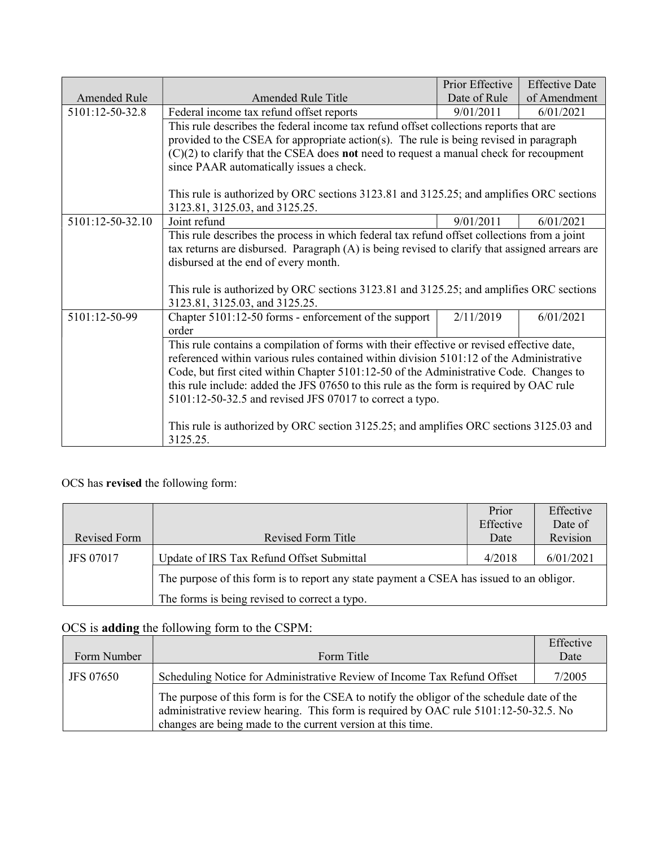|                                                                                        |                                                                                                                                                     | Prior Effective | <b>Effective Date</b> |
|----------------------------------------------------------------------------------------|-----------------------------------------------------------------------------------------------------------------------------------------------------|-----------------|-----------------------|
| <b>Amended Rule</b>                                                                    | <b>Amended Rule Title</b>                                                                                                                           | Date of Rule    | of Amendment          |
| 5101:12-50-32.8                                                                        | Federal income tax refund offset reports                                                                                                            | 9/01/2011       | 6/01/2021             |
|                                                                                        | This rule describes the federal income tax refund offset collections reports that are                                                               |                 |                       |
|                                                                                        | provided to the CSEA for appropriate action(s). The rule is being revised in paragraph                                                              |                 |                       |
|                                                                                        | $(C)(2)$ to clarify that the CSEA does <b>not</b> need to request a manual check for recoupment                                                     |                 |                       |
|                                                                                        | since PAAR automatically issues a check.                                                                                                            |                 |                       |
|                                                                                        | This rule is authorized by ORC sections 3123.81 and 3125.25; and amplifies ORC sections<br>3123.81, 3125.03, and 3125.25.                           |                 |                       |
| 5101:12-50-32.10                                                                       | Joint refund                                                                                                                                        | 9/01/2011       | 6/01/2021             |
|                                                                                        | This rule describes the process in which federal tax refund offset collections from a joint                                                         |                 |                       |
|                                                                                        | tax returns are disbursed. Paragraph (A) is being revised to clarify that assigned arrears are                                                      |                 |                       |
|                                                                                        | disbursed at the end of every month.                                                                                                                |                 |                       |
|                                                                                        | This rule is authorized by ORC sections 3123.81 and 3125.25; and amplifies ORC sections<br>3123.81, 3125.03, and 3125.25.                           |                 |                       |
| 5101:12-50-99                                                                          | Chapter 5101:12-50 forms - enforcement of the support<br>order                                                                                      | 2/11/2019       | 6/01/2021             |
|                                                                                        | This rule contains a compilation of forms with their effective or revised effective date,                                                           |                 |                       |
|                                                                                        | referenced within various rules contained within division 5101:12 of the Administrative                                                             |                 |                       |
| Code, but first cited within Chapter 5101:12-50 of the Administrative Code. Changes to |                                                                                                                                                     |                 |                       |
|                                                                                        | this rule include: added the JFS 07650 to this rule as the form is required by OAC rule<br>5101:12-50-32.5 and revised JFS 07017 to correct a typo. |                 |                       |
|                                                                                        |                                                                                                                                                     |                 |                       |
|                                                                                        | This rule is authorized by ORC section 3125.25; and amplifies ORC sections 3125.03 and<br>3125.25.                                                  |                 |                       |

# OCS has revised the following form:

|                  |                                                                                          | Prior     | Effective |
|------------------|------------------------------------------------------------------------------------------|-----------|-----------|
|                  |                                                                                          | Effective | Date of   |
| Revised Form     | Revised Form Title                                                                       | Date      | Revision  |
| <b>JFS 07017</b> | Update of IRS Tax Refund Offset Submittal                                                | 4/2018    | 6/01/2021 |
|                  | The purpose of this form is to report any state payment a CSEA has issued to an obligor. |           |           |
|                  | The forms is being revised to correct a typo.                                            |           |           |

# OCS is adding the following form to the CSPM:

| Form Number | Form Title                                                                                                                                                                                                                                        | Effective<br>Date |
|-------------|---------------------------------------------------------------------------------------------------------------------------------------------------------------------------------------------------------------------------------------------------|-------------------|
| JFS 07650   | Scheduling Notice for Administrative Review of Income Tax Refund Offset<br>7/2005                                                                                                                                                                 |                   |
|             | The purpose of this form is for the CSEA to notify the obligor of the schedule date of the<br>administrative review hearing. This form is required by OAC rule 5101:12-50-32.5. No<br>changes are being made to the current version at this time. |                   |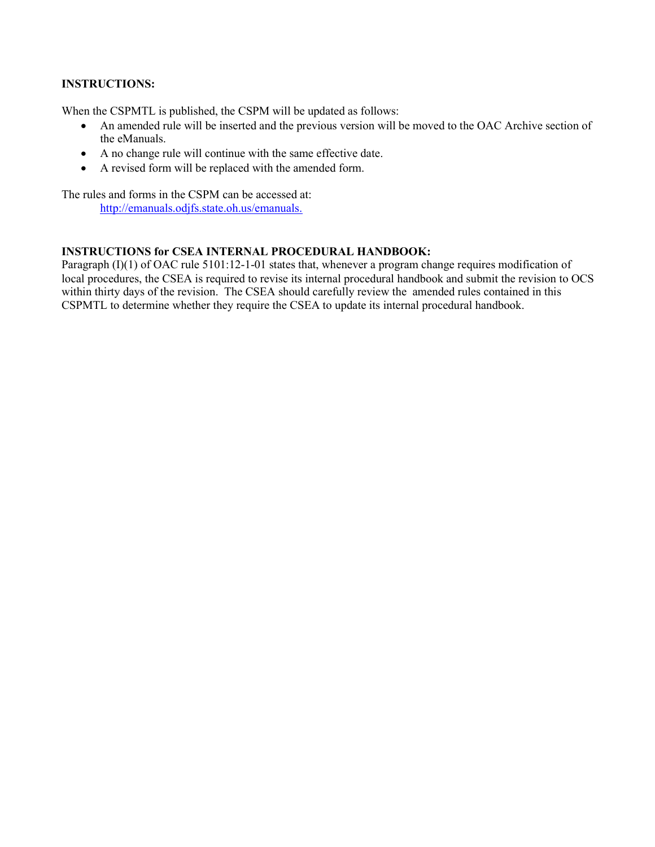### INSTRUCTIONS:

When the CSPMTL is published, the CSPM will be updated as follows:

- An amended rule will be inserted and the previous version will be moved to the OAC Archive section of the eManuals.
- A no change rule will continue with the same effective date.
- A revised form will be replaced with the amended form.

The rules and forms in the CSPM can be accessed at: http://emanuals.odjfs.state.oh.us/emanuals.

### INSTRUCTIONS for CSEA INTERNAL PROCEDURAL HANDBOOK:

Paragraph (I)(1) of OAC rule 5101:12-1-01 states that, whenever a program change requires modification of local procedures, the CSEA is required to revise its internal procedural handbook and submit the revision to OCS within thirty days of the revision. The CSEA should carefully review the amended rules contained in this CSPMTL to determine whether they require the CSEA to update its internal procedural handbook.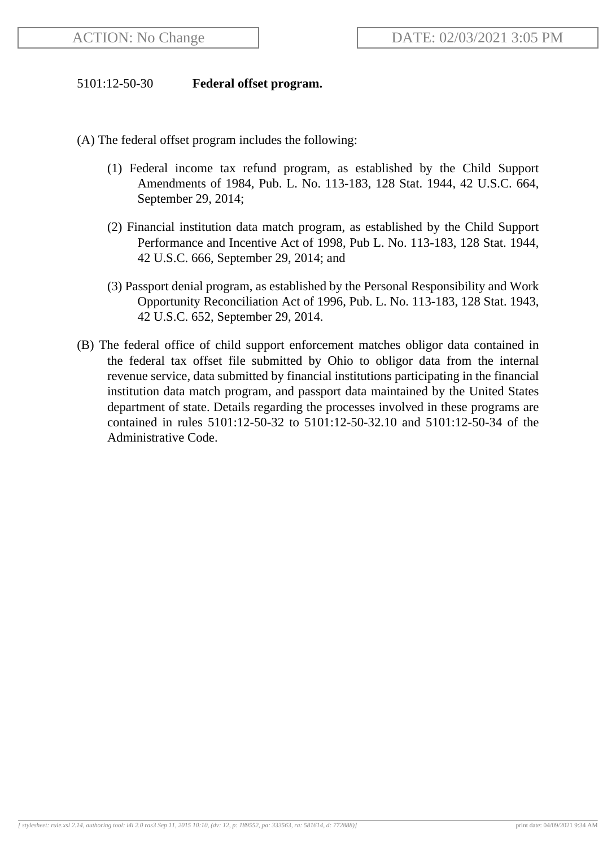## 5101:12-50-30 **Federal offset program.**

- (A) The federal offset program includes the following:
	- (1) Federal income tax refund program, as established by the Child Support Amendments of 1984, Pub. L. No. 113-183, 128 Stat. 1944, 42 U.S.C. 664, September 29, 2014;
	- (2) Financial institution data match program, as established by the Child Support Performance and Incentive Act of 1998, Pub L. No. 113-183, 128 Stat. 1944, 42 U.S.C. 666, September 29, 2014; and
	- (3) Passport denial program, as established by the Personal Responsibility and Work Opportunity Reconciliation Act of 1996, Pub. L. No. 113-183, 128 Stat. 1943, 42 U.S.C. 652, September 29, 2014.
- (B) The federal office of child support enforcement matches obligor data contained in the federal tax offset file submitted by Ohio to obligor data from the internal revenue service, data submitted by financial institutions participating in the financial institution data match program, and passport data maintained by the United States department of state. Details regarding the processes involved in these programs are contained in rules 5101:12-50-32 to 5101:12-50-32.10 and 5101:12-50-34 of the Administrative Code.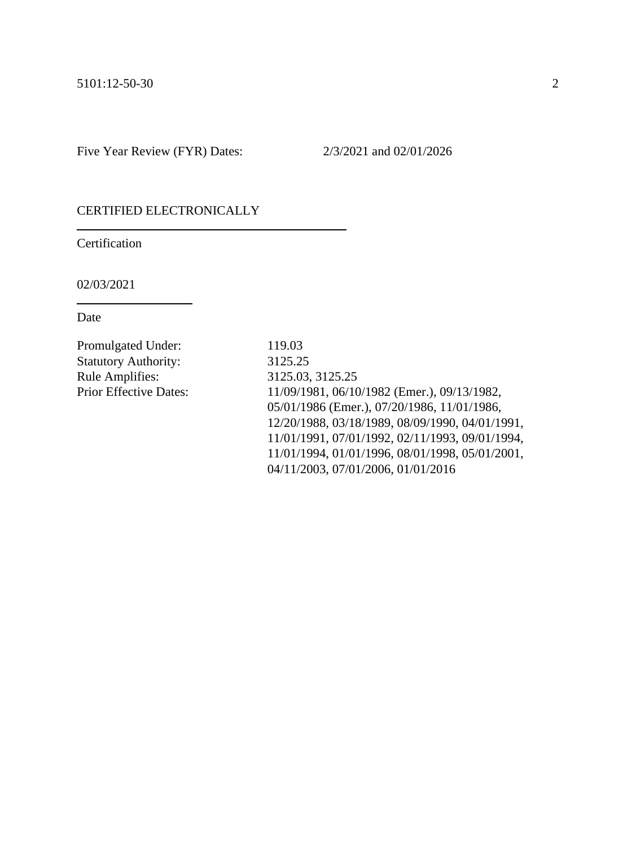#### CERTIFIED ELECTRONICALLY

Certification

02/03/2021

Date

Promulgated Under: 119.03 Statutory Authority: 3125.25 Rule Amplifies: 3125.03, 3125.25

Prior Effective Dates: 11/09/1981, 06/10/1982 (Emer.), 09/13/1982, 05/01/1986 (Emer.), 07/20/1986, 11/01/1986, 12/20/1988, 03/18/1989, 08/09/1990, 04/01/1991, 11/01/1991, 07/01/1992, 02/11/1993, 09/01/1994, 11/01/1994, 01/01/1996, 08/01/1998, 05/01/2001, 04/11/2003, 07/01/2006, 01/01/2016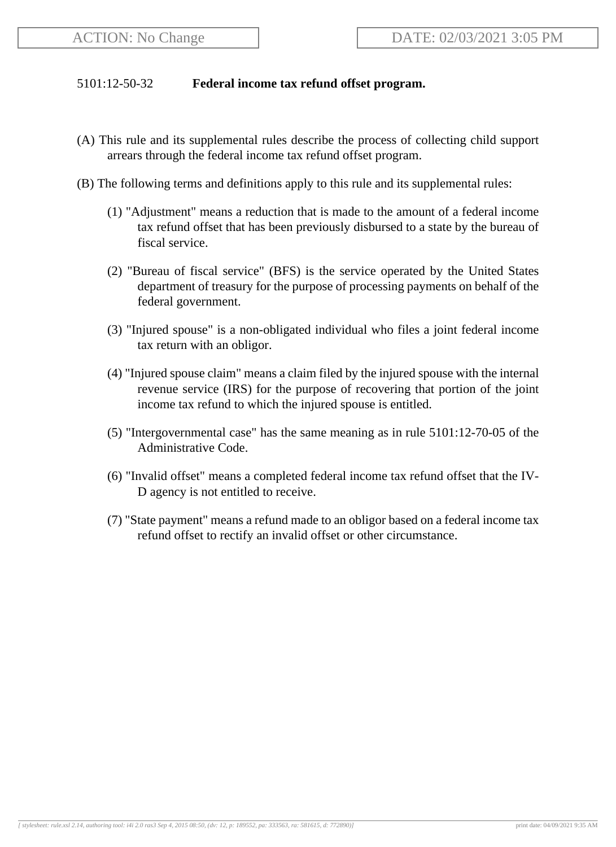## 5101:12-50-32 **Federal income tax refund offset program.**

- (A) This rule and its supplemental rules describe the process of collecting child support arrears through the federal income tax refund offset program.
- (B) The following terms and definitions apply to this rule and its supplemental rules:
	- (1) "Adjustment" means a reduction that is made to the amount of a federal income tax refund offset that has been previously disbursed to a state by the bureau of fiscal service.
	- (2) "Bureau of fiscal service" (BFS) is the service operated by the United States department of treasury for the purpose of processing payments on behalf of the federal government.
	- (3) "Injured spouse" is a non-obligated individual who files a joint federal income tax return with an obligor.
	- (4) "Injured spouse claim" means a claim filed by the injured spouse with the internal revenue service (IRS) for the purpose of recovering that portion of the joint income tax refund to which the injured spouse is entitled.
	- (5) "Intergovernmental case" has the same meaning as in rule 5101:12-70-05 of the Administrative Code.
	- (6) "Invalid offset" means a completed federal income tax refund offset that the IV-D agency is not entitled to receive.
	- (7) "State payment" means a refund made to an obligor based on a federal income tax refund offset to rectify an invalid offset or other circumstance.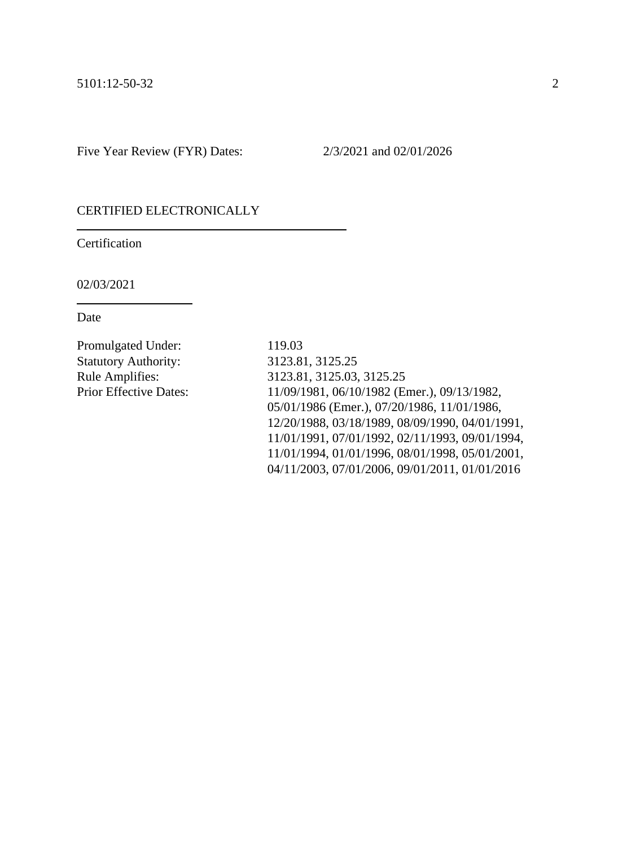#### CERTIFIED ELECTRONICALLY

Certification

02/03/2021

Date

Promulgated Under: 119.03 Statutory Authority: 3123.81, 3125.25

Rule Amplifies: 3123.81, 3125.03, 3125.25 Prior Effective Dates: 11/09/1981, 06/10/1982 (Emer.), 09/13/1982, 05/01/1986 (Emer.), 07/20/1986, 11/01/1986, 12/20/1988, 03/18/1989, 08/09/1990, 04/01/1991, 11/01/1991, 07/01/1992, 02/11/1993, 09/01/1994, 11/01/1994, 01/01/1996, 08/01/1998, 05/01/2001, 04/11/2003, 07/01/2006, 09/01/2011, 01/01/2016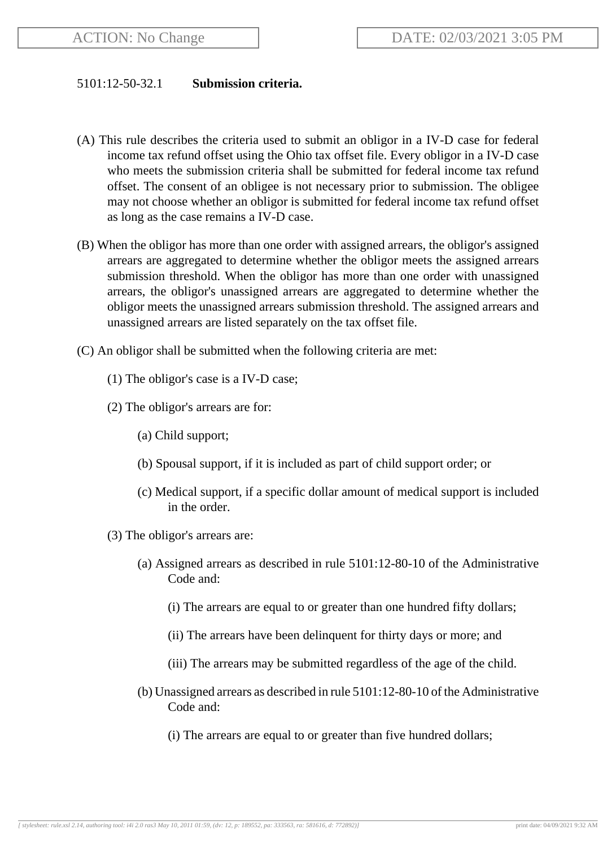### 5101:12-50-32.1 **Submission criteria.**

- (A) This rule describes the criteria used to submit an obligor in a IV-D case for federal income tax refund offset using the Ohio tax offset file. Every obligor in a IV-D case who meets the submission criteria shall be submitted for federal income tax refund offset. The consent of an obligee is not necessary prior to submission. The obligee may not choose whether an obligor is submitted for federal income tax refund offset as long as the case remains a IV-D case.
- (B) When the obligor has more than one order with assigned arrears, the obligor's assigned arrears are aggregated to determine whether the obligor meets the assigned arrears submission threshold. When the obligor has more than one order with unassigned arrears, the obligor's unassigned arrears are aggregated to determine whether the obligor meets the unassigned arrears submission threshold. The assigned arrears and unassigned arrears are listed separately on the tax offset file.
- (C) An obligor shall be submitted when the following criteria are met:
	- (1) The obligor's case is a IV-D case;
	- (2) The obligor's arrears are for:
		- (a) Child support;
		- (b) Spousal support, if it is included as part of child support order; or
		- (c) Medical support, if a specific dollar amount of medical support is included in the order.
	- (3) The obligor's arrears are:
		- (a) Assigned arrears as described in rule 5101:12-80-10 of the Administrative Code and:
			- (i) The arrears are equal to or greater than one hundred fifty dollars;
			- (ii) The arrears have been delinquent for thirty days or more; and
			- (iii) The arrears may be submitted regardless of the age of the child.
		- (b) Unassigned arrears as described in rule 5101:12-80-10 of the Administrative Code and:
			- (i) The arrears are equal to or greater than five hundred dollars;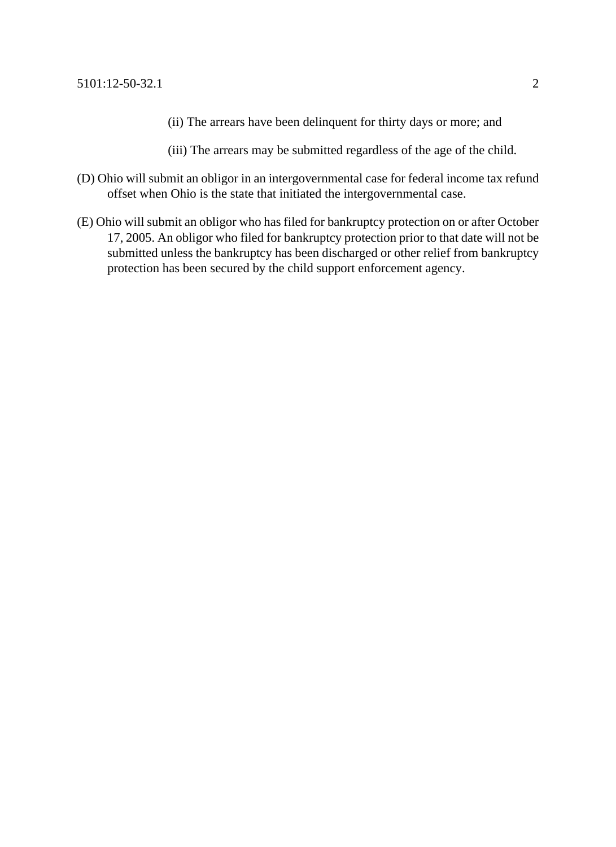- (ii) The arrears have been delinquent for thirty days or more; and
- (iii) The arrears may be submitted regardless of the age of the child.
- (D) Ohio will submit an obligor in an intergovernmental case for federal income tax refund offset when Ohio is the state that initiated the intergovernmental case.
- (E) Ohio will submit an obligor who has filed for bankruptcy protection on or after October 17, 2005. An obligor who filed for bankruptcy protection prior to that date will not be submitted unless the bankruptcy has been discharged or other relief from bankruptcy protection has been secured by the child support enforcement agency.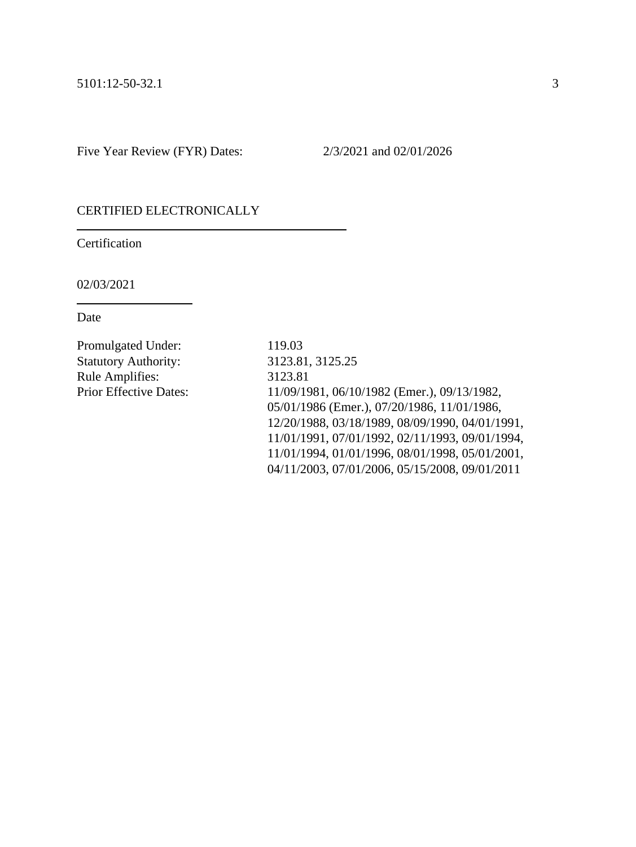#### CERTIFIED ELECTRONICALLY

Certification

02/03/2021

Date

Promulgated Under: 119.03 Statutory Authority: 3123.81, 3125.25 Rule Amplifies: 3123.81

Prior Effective Dates: 11/09/1981, 06/10/1982 (Emer.), 09/13/1982, 05/01/1986 (Emer.), 07/20/1986, 11/01/1986, 12/20/1988, 03/18/1989, 08/09/1990, 04/01/1991, 11/01/1991, 07/01/1992, 02/11/1993, 09/01/1994, 11/01/1994, 01/01/1996, 08/01/1998, 05/01/2001, 04/11/2003, 07/01/2006, 05/15/2008, 09/01/2011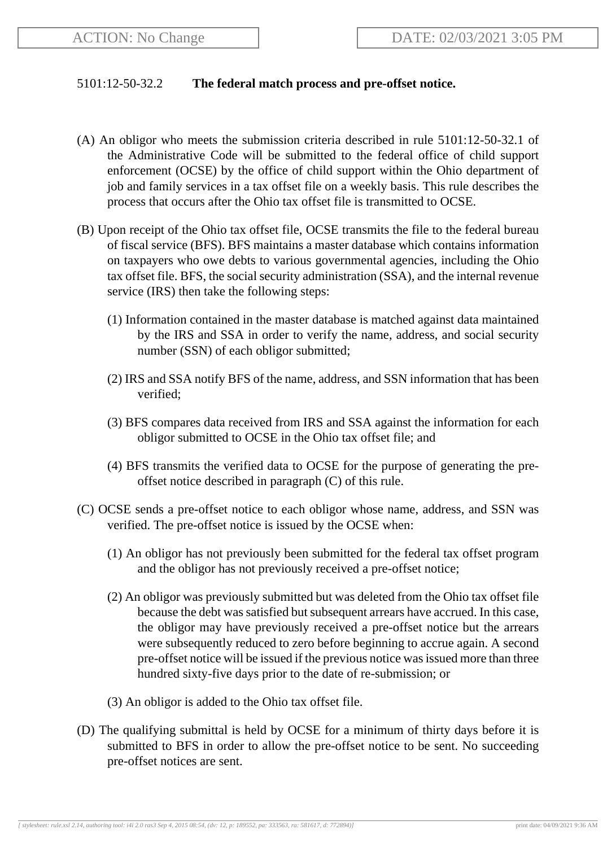### 5101:12-50-32.2 **The federal match process and pre-offset notice.**

- (A) An obligor who meets the submission criteria described in rule 5101:12-50-32.1 of the Administrative Code will be submitted to the federal office of child support enforcement (OCSE) by the office of child support within the Ohio department of job and family services in a tax offset file on a weekly basis. This rule describes the process that occurs after the Ohio tax offset file is transmitted to OCSE.
- (B) Upon receipt of the Ohio tax offset file, OCSE transmits the file to the federal bureau of fiscal service (BFS). BFS maintains a master database which contains information on taxpayers who owe debts to various governmental agencies, including the Ohio tax offset file. BFS, the social security administration (SSA), and the internal revenue service (IRS) then take the following steps:
	- (1) Information contained in the master database is matched against data maintained by the IRS and SSA in order to verify the name, address, and social security number (SSN) of each obligor submitted;
	- (2) IRS and SSA notify BFS of the name, address, and SSN information that has been verified;
	- (3) BFS compares data received from IRS and SSA against the information for each obligor submitted to OCSE in the Ohio tax offset file; and
	- (4) BFS transmits the verified data to OCSE for the purpose of generating the preoffset notice described in paragraph (C) of this rule.
- (C) OCSE sends a pre-offset notice to each obligor whose name, address, and SSN was verified. The pre-offset notice is issued by the OCSE when:
	- (1) An obligor has not previously been submitted for the federal tax offset program and the obligor has not previously received a pre-offset notice;
	- (2) An obligor was previously submitted but was deleted from the Ohio tax offset file because the debt was satisfied but subsequent arrears have accrued. In this case, the obligor may have previously received a pre-offset notice but the arrears were subsequently reduced to zero before beginning to accrue again. A second pre-offset notice will be issued if the previous notice was issued more than three hundred sixty-five days prior to the date of re-submission; or
	- (3) An obligor is added to the Ohio tax offset file.
- (D) The qualifying submittal is held by OCSE for a minimum of thirty days before it is submitted to BFS in order to allow the pre-offset notice to be sent. No succeeding pre-offset notices are sent.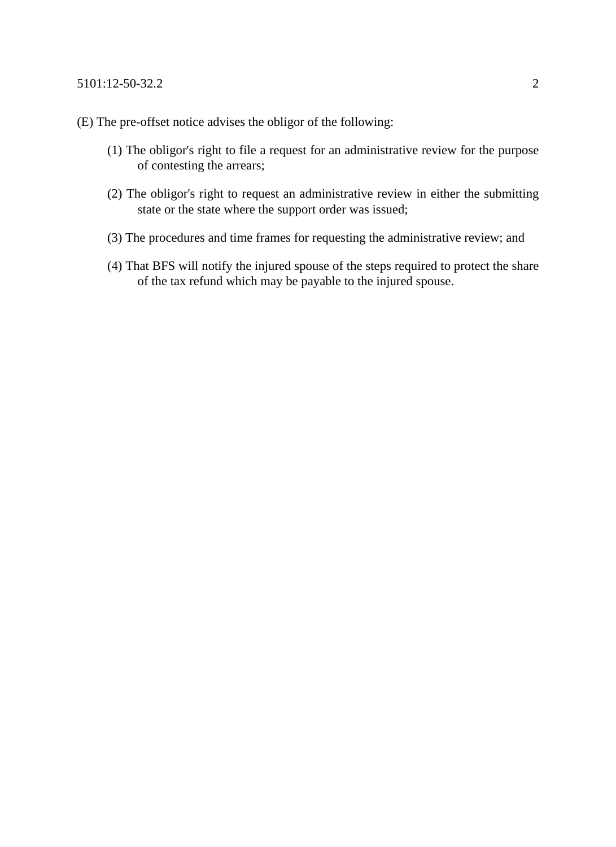- (E) The pre-offset notice advises the obligor of the following:
	- (1) The obligor's right to file a request for an administrative review for the purpose of contesting the arrears;
	- (2) The obligor's right to request an administrative review in either the submitting state or the state where the support order was issued;
	- (3) The procedures and time frames for requesting the administrative review; and
	- (4) That BFS will notify the injured spouse of the steps required to protect the share of the tax refund which may be payable to the injured spouse.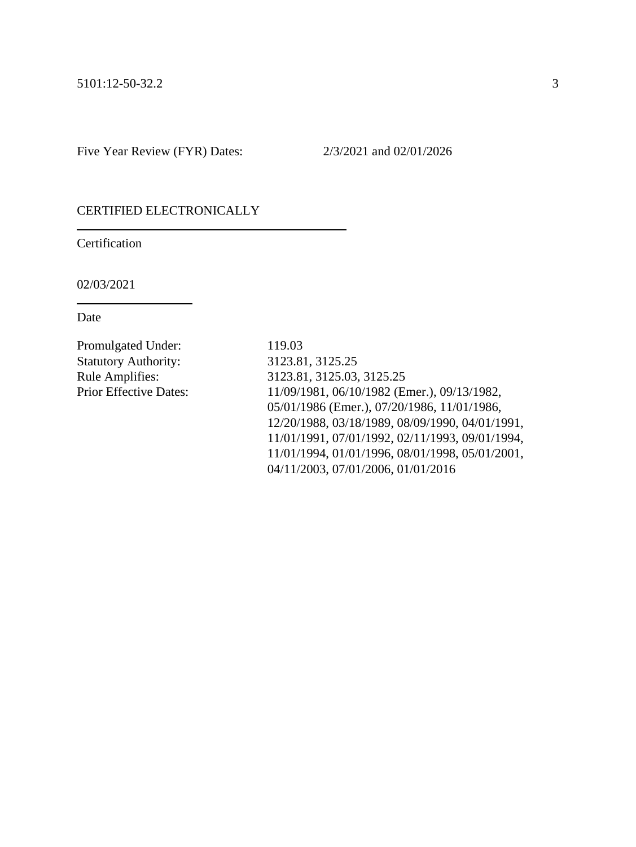#### CERTIFIED ELECTRONICALLY

Certification

02/03/2021

Date

Promulgated Under: 119.03 Statutory Authority: 3123.81, 3125.25

Rule Amplifies: 3123.81, 3125.03, 3125.25 Prior Effective Dates: 11/09/1981, 06/10/1982 (Emer.), 09/13/1982, 05/01/1986 (Emer.), 07/20/1986, 11/01/1986, 12/20/1988, 03/18/1989, 08/09/1990, 04/01/1991, 11/01/1991, 07/01/1992, 02/11/1993, 09/01/1994, 11/01/1994, 01/01/1996, 08/01/1998, 05/01/2001, 04/11/2003, 07/01/2006, 01/01/2016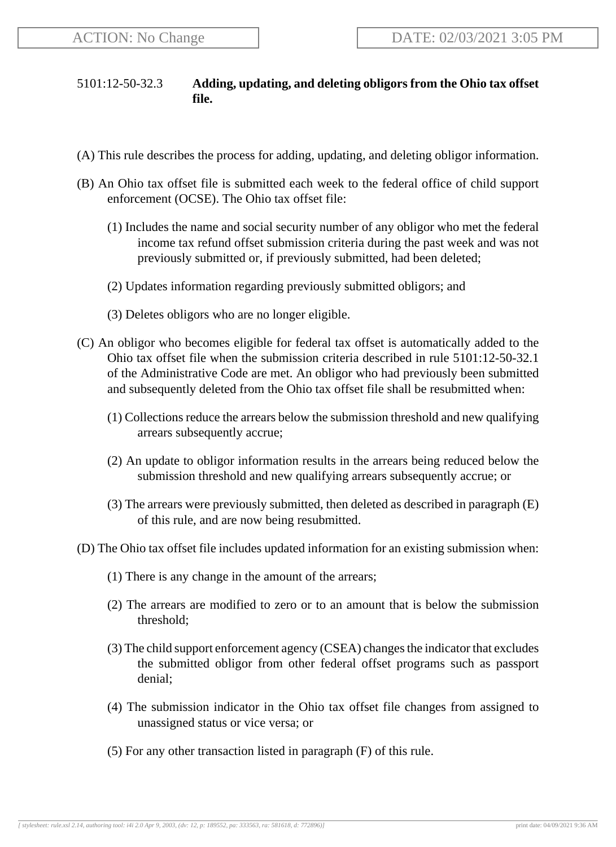# 5101:12-50-32.3 **Adding, updating, and deleting obligors from the Ohio tax offset file.**

- (A) This rule describes the process for adding, updating, and deleting obligor information.
- (B) An Ohio tax offset file is submitted each week to the federal office of child support enforcement (OCSE). The Ohio tax offset file:
	- (1) Includes the name and social security number of any obligor who met the federal income tax refund offset submission criteria during the past week and was not previously submitted or, if previously submitted, had been deleted;
	- (2) Updates information regarding previously submitted obligors; and
	- (3) Deletes obligors who are no longer eligible.
- (C) An obligor who becomes eligible for federal tax offset is automatically added to the Ohio tax offset file when the submission criteria described in rule 5101:12-50-32.1 of the Administrative Code are met. An obligor who had previously been submitted and subsequently deleted from the Ohio tax offset file shall be resubmitted when:
	- (1) Collections reduce the arrears below the submission threshold and new qualifying arrears subsequently accrue;
	- (2) An update to obligor information results in the arrears being reduced below the submission threshold and new qualifying arrears subsequently accrue; or
	- (3) The arrears were previously submitted, then deleted as described in paragraph (E) of this rule, and are now being resubmitted.
- (D) The Ohio tax offset file includes updated information for an existing submission when:
	- (1) There is any change in the amount of the arrears;
	- (2) The arrears are modified to zero or to an amount that is below the submission threshold;
	- (3) The child support enforcement agency (CSEA) changes the indicator that excludes the submitted obligor from other federal offset programs such as passport denial;
	- (4) The submission indicator in the Ohio tax offset file changes from assigned to unassigned status or vice versa; or
	- (5) For any other transaction listed in paragraph (F) of this rule.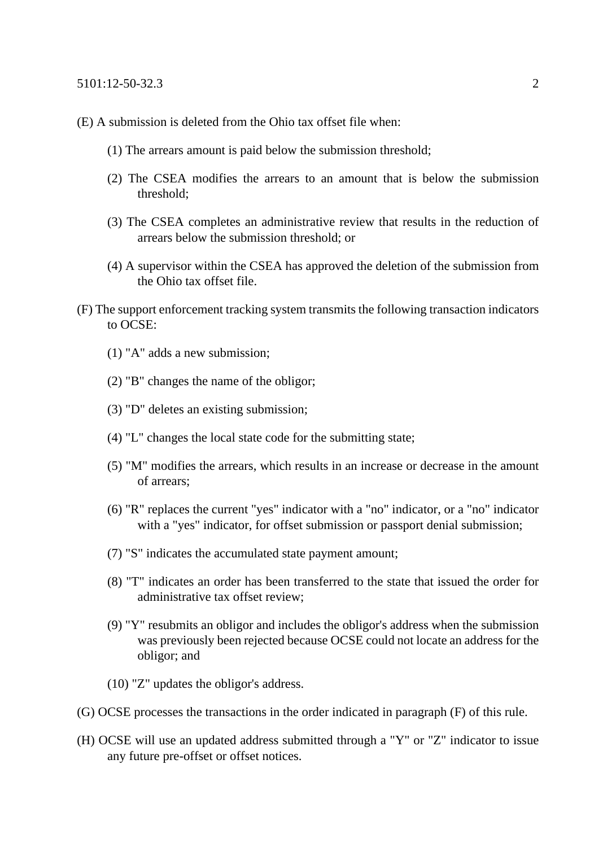- (E) A submission is deleted from the Ohio tax offset file when:
	- (1) The arrears amount is paid below the submission threshold;
	- (2) The CSEA modifies the arrears to an amount that is below the submission threshold;
	- (3) The CSEA completes an administrative review that results in the reduction of arrears below the submission threshold; or
	- (4) A supervisor within the CSEA has approved the deletion of the submission from the Ohio tax offset file.
- (F) The support enforcement tracking system transmits the following transaction indicators to OCSE:
	- (1) "A" adds a new submission;
	- (2) "B" changes the name of the obligor;
	- (3) "D" deletes an existing submission;
	- (4) "L" changes the local state code for the submitting state;
	- (5) "M" modifies the arrears, which results in an increase or decrease in the amount of arrears;
	- (6) "R" replaces the current "yes" indicator with a "no" indicator, or a "no" indicator with a "yes" indicator, for offset submission or passport denial submission;
	- (7) "S" indicates the accumulated state payment amount;
	- (8) "T" indicates an order has been transferred to the state that issued the order for administrative tax offset review;
	- (9) "Y" resubmits an obligor and includes the obligor's address when the submission was previously been rejected because OCSE could not locate an address for the obligor; and
	- (10) "Z" updates the obligor's address.
- (G) OCSE processes the transactions in the order indicated in paragraph (F) of this rule.
- (H) OCSE will use an updated address submitted through a "Y" or "Z" indicator to issue any future pre-offset or offset notices.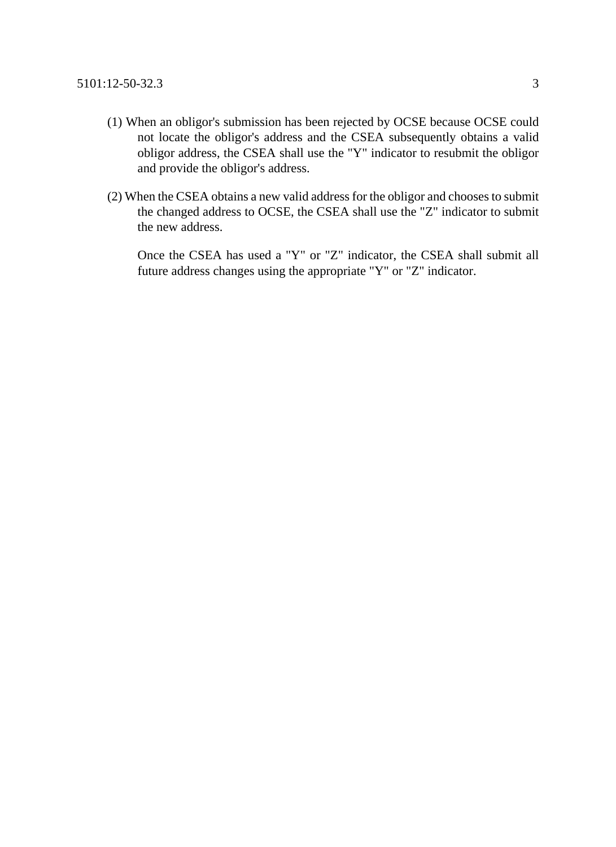- (1) When an obligor's submission has been rejected by OCSE because OCSE could not locate the obligor's address and the CSEA subsequently obtains a valid obligor address, the CSEA shall use the "Y" indicator to resubmit the obligor and provide the obligor's address.
- (2) When the CSEA obtains a new valid address for the obligor and chooses to submit the changed address to OCSE, the CSEA shall use the "Z" indicator to submit the new address.

Once the CSEA has used a "Y" or "Z" indicator, the CSEA shall submit all future address changes using the appropriate "Y" or "Z" indicator.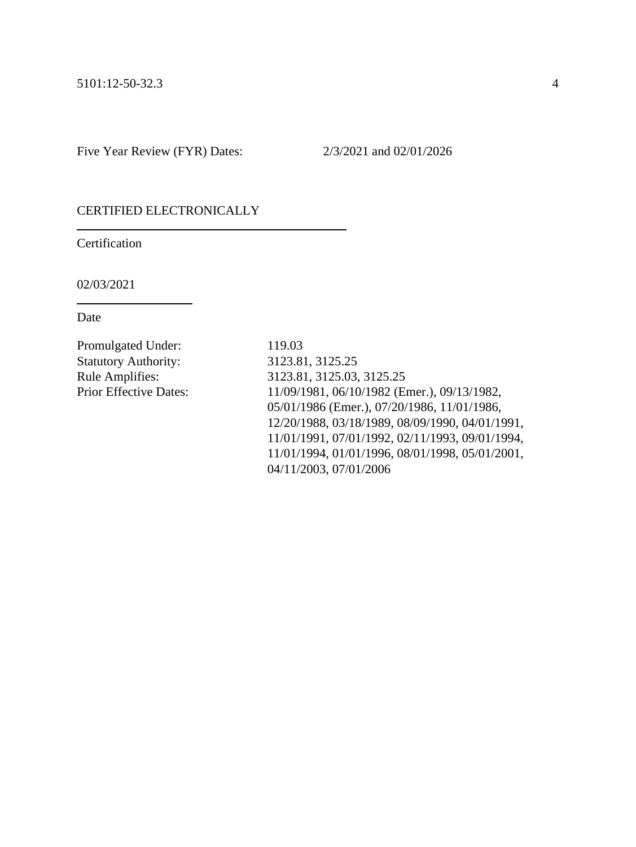#### CERTIFIED ELECTRONICALLY

Certification

02/03/2021

Date

Promulgated Under: 119.03 Statutory Authority: 3123.81, 3125.25

Rule Amplifies: 3123.81, 3125.03, 3125.25 Prior Effective Dates: 11/09/1981, 06/10/1982 (Emer.), 09/13/1982, 05/01/1986 (Emer.), 07/20/1986, 11/01/1986, 12/20/1988, 03/18/1989, 08/09/1990, 04/01/1991, 11/01/1991, 07/01/1992, 02/11/1993, 09/01/1994, 11/01/1994, 01/01/1996, 08/01/1998, 05/01/2001, 04/11/2003, 07/01/2006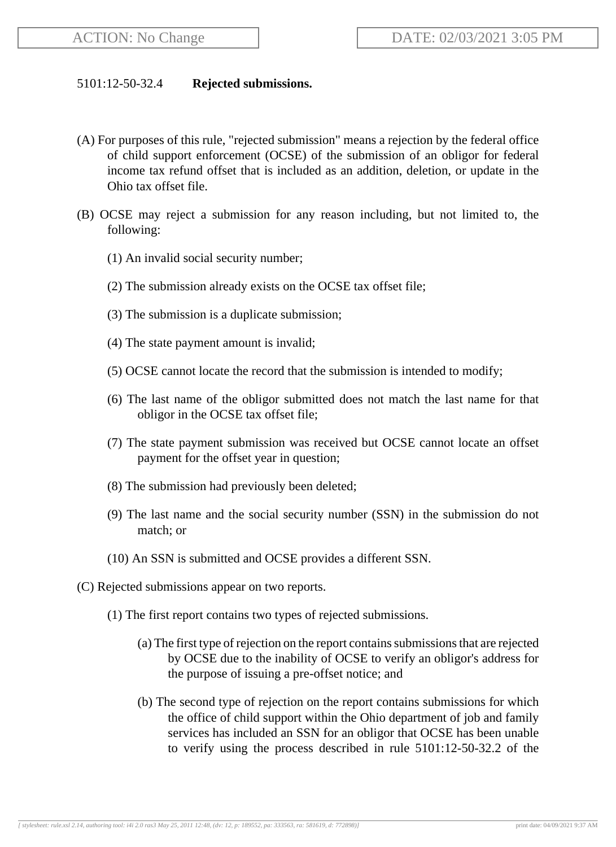### 5101:12-50-32.4 **Rejected submissions.**

- (A) For purposes of this rule, "rejected submission" means a rejection by the federal office of child support enforcement (OCSE) of the submission of an obligor for federal income tax refund offset that is included as an addition, deletion, or update in the Ohio tax offset file.
- (B) OCSE may reject a submission for any reason including, but not limited to, the following:
	- (1) An invalid social security number;
	- (2) The submission already exists on the OCSE tax offset file;
	- (3) The submission is a duplicate submission;
	- (4) The state payment amount is invalid;
	- (5) OCSE cannot locate the record that the submission is intended to modify;
	- (6) The last name of the obligor submitted does not match the last name for that obligor in the OCSE tax offset file;
	- (7) The state payment submission was received but OCSE cannot locate an offset payment for the offset year in question;
	- (8) The submission had previously been deleted;
	- (9) The last name and the social security number (SSN) in the submission do not match; or
	- (10) An SSN is submitted and OCSE provides a different SSN.
- (C) Rejected submissions appear on two reports.
	- (1) The first report contains two types of rejected submissions.
		- (a) The first type of rejection on the report contains submissions that are rejected by OCSE due to the inability of OCSE to verify an obligor's address for the purpose of issuing a pre-offset notice; and
		- (b) The second type of rejection on the report contains submissions for which the office of child support within the Ohio department of job and family services has included an SSN for an obligor that OCSE has been unable to verify using the process described in rule 5101:12-50-32.2 of the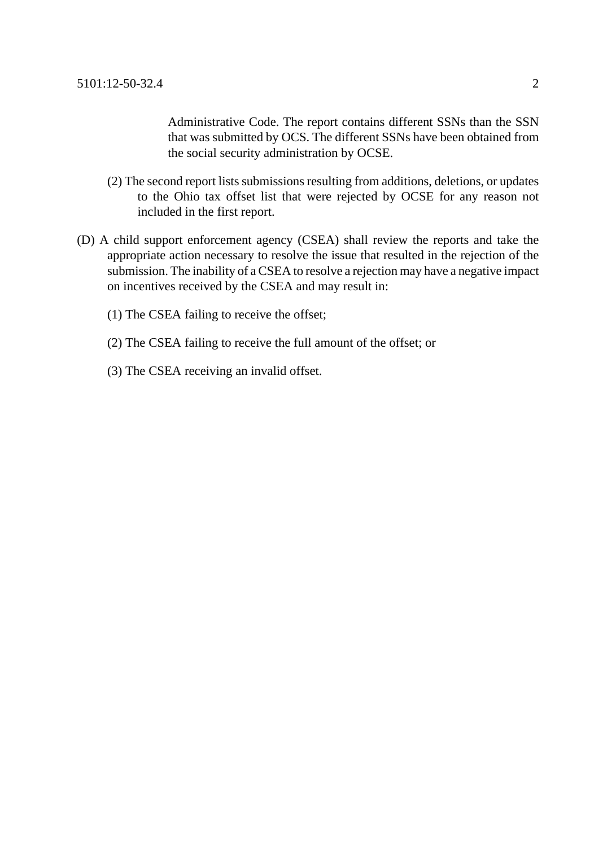Administrative Code. The report contains different SSNs than the SSN that was submitted by OCS. The different SSNs have been obtained from the social security administration by OCSE.

- (2) The second report lists submissions resulting from additions, deletions, or updates to the Ohio tax offset list that were rejected by OCSE for any reason not included in the first report.
- (D) A child support enforcement agency (CSEA) shall review the reports and take the appropriate action necessary to resolve the issue that resulted in the rejection of the submission. The inability of a CSEA to resolve a rejection may have a negative impact on incentives received by the CSEA and may result in:
	- (1) The CSEA failing to receive the offset;
	- (2) The CSEA failing to receive the full amount of the offset; or
	- (3) The CSEA receiving an invalid offset.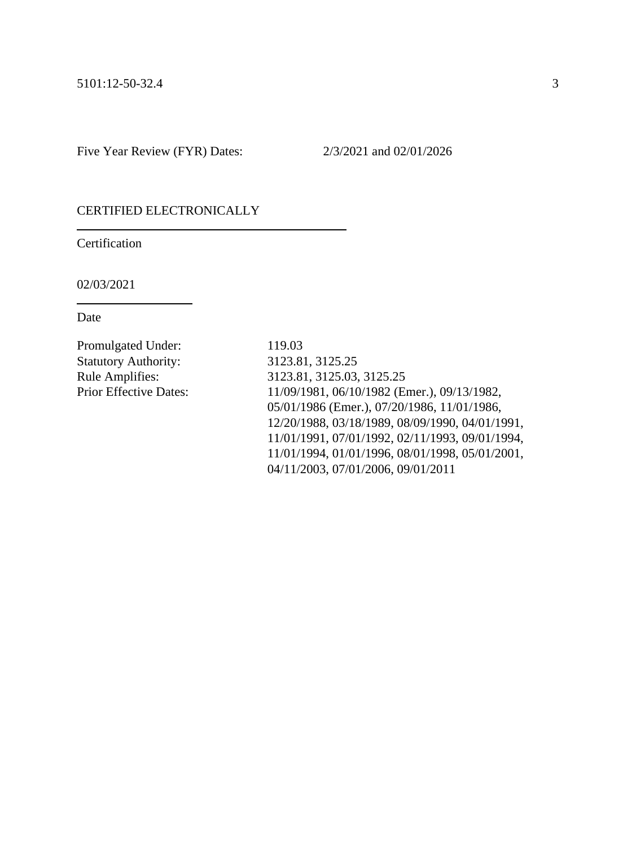#### CERTIFIED ELECTRONICALLY

Certification

02/03/2021

Date

Promulgated Under: 119.03 Statutory Authority: 3123.81, 3125.25

Rule Amplifies: 3123.81, 3125.03, 3125.25 Prior Effective Dates: 11/09/1981, 06/10/1982 (Emer.), 09/13/1982, 05/01/1986 (Emer.), 07/20/1986, 11/01/1986, 12/20/1988, 03/18/1989, 08/09/1990, 04/01/1991, 11/01/1991, 07/01/1992, 02/11/1993, 09/01/1994, 11/01/1994, 01/01/1996, 08/01/1998, 05/01/2001, 04/11/2003, 07/01/2006, 09/01/2011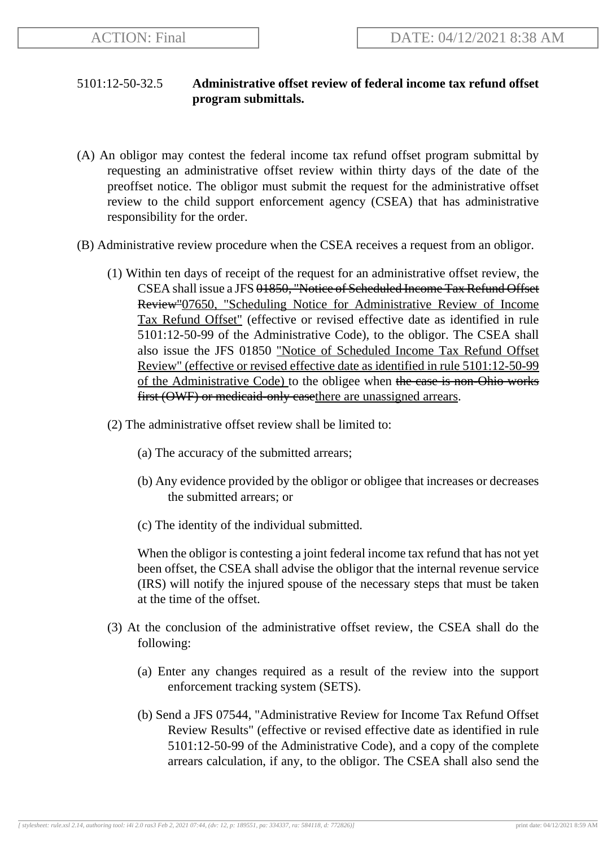# 5101:12-50-32.5 **Administrative offset review of federal income tax refund offset program submittals.**

- (A) An obligor may contest the federal income tax refund offset program submittal by requesting an administrative offset review within thirty days of the date of the preoffset notice. The obligor must submit the request for the administrative offset review to the child support enforcement agency (CSEA) that has administrative responsibility for the order.
- (B) Administrative review procedure when the CSEA receives a request from an obligor.
	- (1) Within ten days of receipt of the request for an administrative offset review, the CSEA shall issue a JFS 01850, "Notice of Scheduled Income Tax Refund Offset Review"07650, "Scheduling Notice for Administrative Review of Income Tax Refund Offset" (effective or revised effective date as identified in rule 5101:12-50-99 of the Administrative Code), to the obligor. The CSEA shall also issue the JFS 01850 "Notice of Scheduled Income Tax Refund Offset Review" (effective or revised effective date as identified in rule 5101:12-50-99 of the Administrative Code) to the obligee when the case is non-Ohio works first (OWF) or medicaid-only casethere are unassigned arrears.
	- (2) The administrative offset review shall be limited to:
		- (a) The accuracy of the submitted arrears;
		- (b) Any evidence provided by the obligor or obligee that increases or decreases the submitted arrears; or
		- (c) The identity of the individual submitted.

When the obligor is contesting a joint federal income tax refund that has not yet been offset, the CSEA shall advise the obligor that the internal revenue service (IRS) will notify the injured spouse of the necessary steps that must be taken at the time of the offset.

- (3) At the conclusion of the administrative offset review, the CSEA shall do the following:
	- (a) Enter any changes required as a result of the review into the support enforcement tracking system (SETS).
	- (b) Send a JFS 07544, "Administrative Review for Income Tax Refund Offset Review Results" (effective or revised effective date as identified in rule 5101:12-50-99 of the Administrative Code), and a copy of the complete arrears calculation, if any, to the obligor. The CSEA shall also send the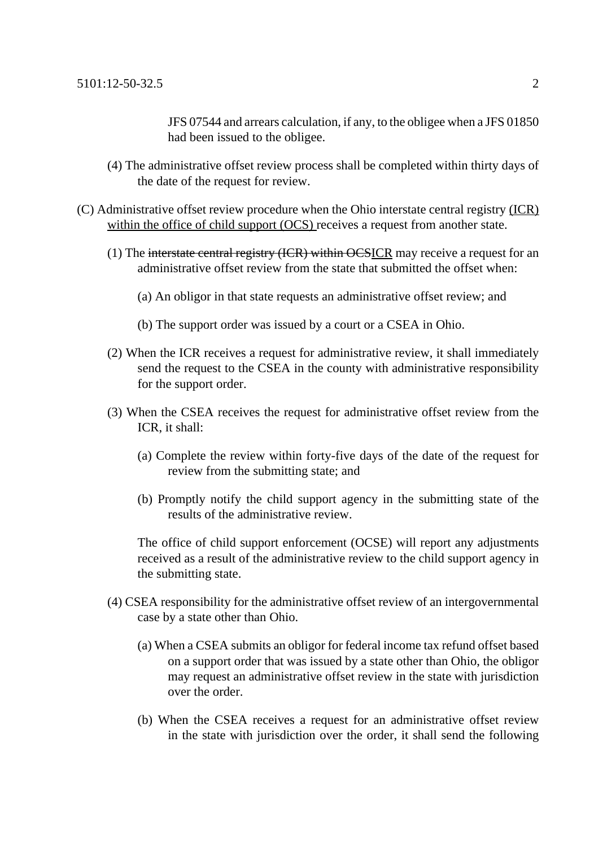JFS 07544 and arrears calculation, if any, to the obligee when a JFS 01850 had been issued to the obligee.

- (4) The administrative offset review process shall be completed within thirty days of the date of the request for review.
- (C) Administrative offset review procedure when the Ohio interstate central registry (ICR) within the office of child support (OCS) receives a request from another state.
	- (1) The interstate central registry (ICR) within OCSICR may receive a request for an administrative offset review from the state that submitted the offset when:
		- (a) An obligor in that state requests an administrative offset review; and
		- (b) The support order was issued by a court or a CSEA in Ohio.
	- (2) When the ICR receives a request for administrative review, it shall immediately send the request to the CSEA in the county with administrative responsibility for the support order.
	- (3) When the CSEA receives the request for administrative offset review from the ICR, it shall:
		- (a) Complete the review within forty-five days of the date of the request for review from the submitting state; and
		- (b) Promptly notify the child support agency in the submitting state of the results of the administrative review.

The office of child support enforcement (OCSE) will report any adjustments received as a result of the administrative review to the child support agency in the submitting state.

- (4) CSEA responsibility for the administrative offset review of an intergovernmental case by a state other than Ohio.
	- (a) When a CSEA submits an obligor for federal income tax refund offset based on a support order that was issued by a state other than Ohio, the obligor may request an administrative offset review in the state with jurisdiction over the order.
	- (b) When the CSEA receives a request for an administrative offset review in the state with jurisdiction over the order, it shall send the following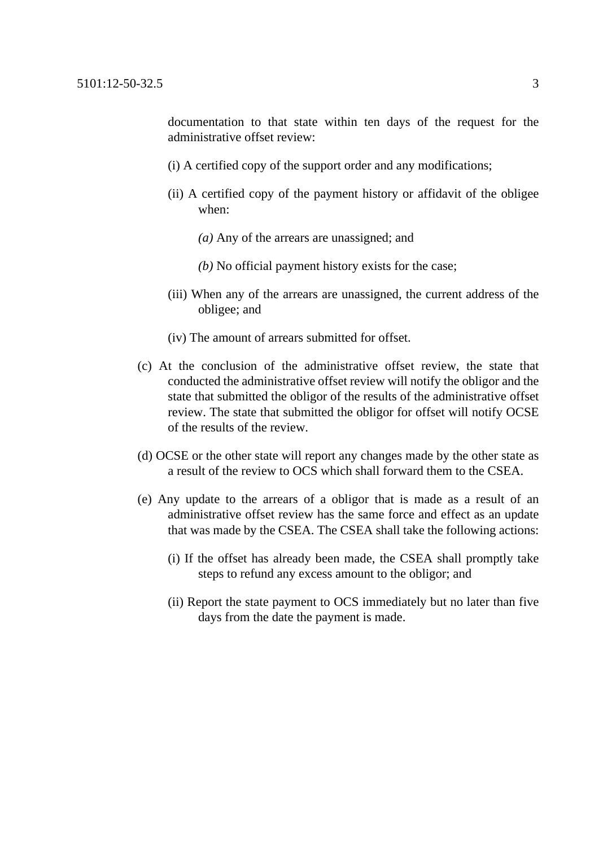documentation to that state within ten days of the request for the administrative offset review:

- (i) A certified copy of the support order and any modifications;
- (ii) A certified copy of the payment history or affidavit of the obligee when:
	- *(a)* Any of the arrears are unassigned; and
	- *(b)* No official payment history exists for the case;
- (iii) When any of the arrears are unassigned, the current address of the obligee; and
- (iv) The amount of arrears submitted for offset.
- (c) At the conclusion of the administrative offset review, the state that conducted the administrative offset review will notify the obligor and the state that submitted the obligor of the results of the administrative offset review. The state that submitted the obligor for offset will notify OCSE of the results of the review.
- (d) OCSE or the other state will report any changes made by the other state as a result of the review to OCS which shall forward them to the CSEA.
- (e) Any update to the arrears of a obligor that is made as a result of an administrative offset review has the same force and effect as an update that was made by the CSEA. The CSEA shall take the following actions:
	- (i) If the offset has already been made, the CSEA shall promptly take steps to refund any excess amount to the obligor; and
	- (ii) Report the state payment to OCS immediately but no later than five days from the date the payment is made.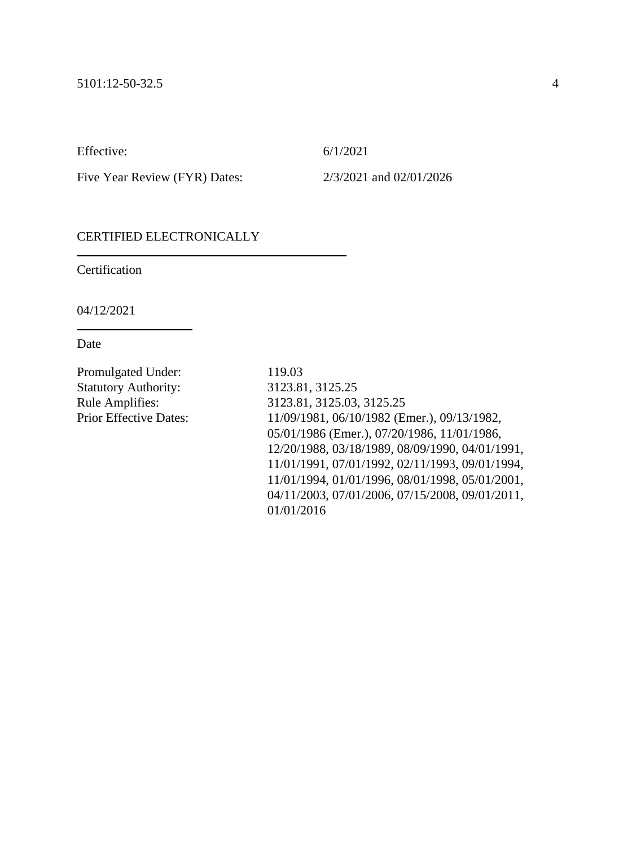Effective: 6/1/2021

Five Year Review (FYR) Dates: 2/3/2021 and 02/01/2026

## CERTIFIED ELECTRONICALLY

**Certification** 

04/12/2021

Date

Promulgated Under: 119.03 Statutory Authority: 3123.81, 3125.25

Rule Amplifies: 3123.81, 3125.03, 3125.25 Prior Effective Dates: 11/09/1981, 06/10/1982 (Emer.), 09/13/1982, 05/01/1986 (Emer.), 07/20/1986, 11/01/1986, 12/20/1988, 03/18/1989, 08/09/1990, 04/01/1991, 11/01/1991, 07/01/1992, 02/11/1993, 09/01/1994, 11/01/1994, 01/01/1996, 08/01/1998, 05/01/2001, 04/11/2003, 07/01/2006, 07/15/2008, 09/01/2011, 01/01/2016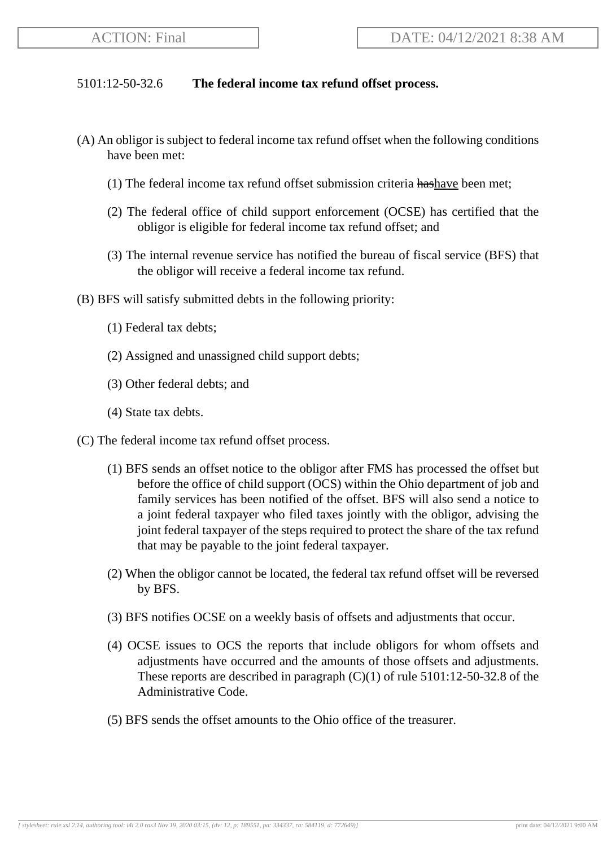## 5101:12-50-32.6 **The federal income tax refund offset process.**

- (A) An obligor is subject to federal income tax refund offset when the following conditions have been met:
	- (1) The federal income tax refund offset submission criteria hashave been met;
	- (2) The federal office of child support enforcement (OCSE) has certified that the obligor is eligible for federal income tax refund offset; and
	- (3) The internal revenue service has notified the bureau of fiscal service (BFS) that the obligor will receive a federal income tax refund.
- (B) BFS will satisfy submitted debts in the following priority:
	- (1) Federal tax debts;
	- (2) Assigned and unassigned child support debts;
	- (3) Other federal debts; and
	- (4) State tax debts.
- (C) The federal income tax refund offset process.
	- (1) BFS sends an offset notice to the obligor after FMS has processed the offset but before the office of child support (OCS) within the Ohio department of job and family services has been notified of the offset. BFS will also send a notice to a joint federal taxpayer who filed taxes jointly with the obligor, advising the joint federal taxpayer of the steps required to protect the share of the tax refund that may be payable to the joint federal taxpayer.
	- (2) When the obligor cannot be located, the federal tax refund offset will be reversed by BFS.
	- (3) BFS notifies OCSE on a weekly basis of offsets and adjustments that occur.
	- (4) OCSE issues to OCS the reports that include obligors for whom offsets and adjustments have occurred and the amounts of those offsets and adjustments. These reports are described in paragraph  $(C)(1)$  of rule 5101:12-50-32.8 of the Administrative Code.
	- (5) BFS sends the offset amounts to the Ohio office of the treasurer.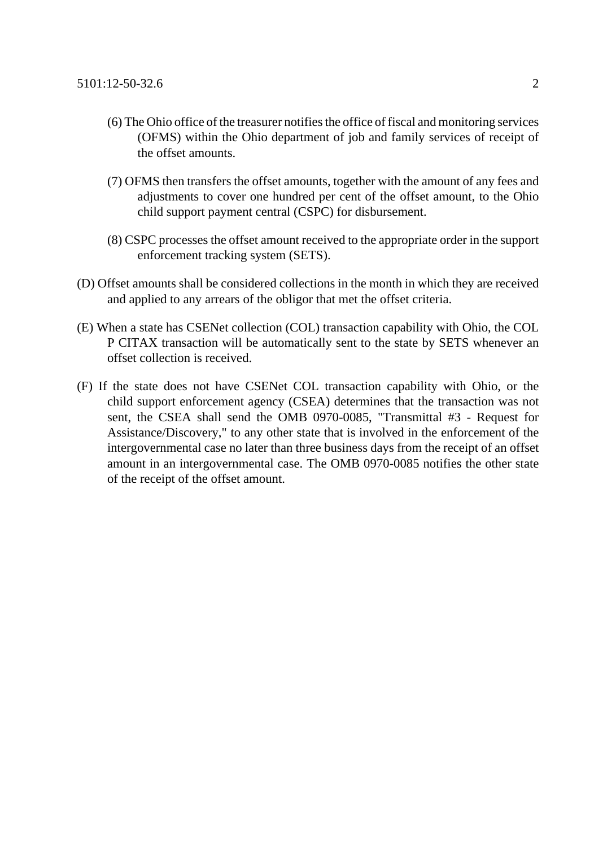- (6) The Ohio office of the treasurer notifies the office of fiscal and monitoring services (OFMS) within the Ohio department of job and family services of receipt of the offset amounts.
- (7) OFMS then transfers the offset amounts, together with the amount of any fees and adjustments to cover one hundred per cent of the offset amount, to the Ohio child support payment central (CSPC) for disbursement.
- (8) CSPC processes the offset amount received to the appropriate order in the support enforcement tracking system (SETS).
- (D) Offset amounts shall be considered collections in the month in which they are received and applied to any arrears of the obligor that met the offset criteria.
- (E) When a state has CSENet collection (COL) transaction capability with Ohio, the COL P CITAX transaction will be automatically sent to the state by SETS whenever an offset collection is received.
- (F) If the state does not have CSENet COL transaction capability with Ohio, or the child support enforcement agency (CSEA) determines that the transaction was not sent, the CSEA shall send the OMB 0970-0085, "Transmittal #3 - Request for Assistance/Discovery," to any other state that is involved in the enforcement of the intergovernmental case no later than three business days from the receipt of an offset amount in an intergovernmental case. The OMB 0970-0085 notifies the other state of the receipt of the offset amount.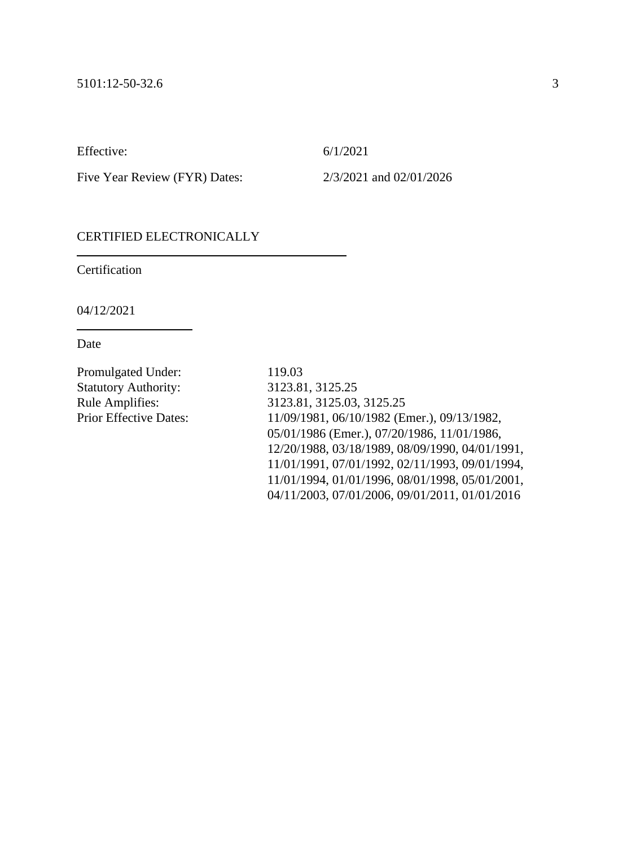Effective: 6/1/2021

Five Year Review (FYR) Dates: 2/3/2021 and 02/01/2026

## CERTIFIED ELECTRONICALLY

**Certification** 

04/12/2021

Date

Promulgated Under: 119.03 Statutory Authority: 3123.81, 3125.25

Rule Amplifies: 3123.81, 3125.03, 3125.25 Prior Effective Dates: 11/09/1981, 06/10/1982 (Emer.), 09/13/1982, 05/01/1986 (Emer.), 07/20/1986, 11/01/1986, 12/20/1988, 03/18/1989, 08/09/1990, 04/01/1991, 11/01/1991, 07/01/1992, 02/11/1993, 09/01/1994, 11/01/1994, 01/01/1996, 08/01/1998, 05/01/2001, 04/11/2003, 07/01/2006, 09/01/2011, 01/01/2016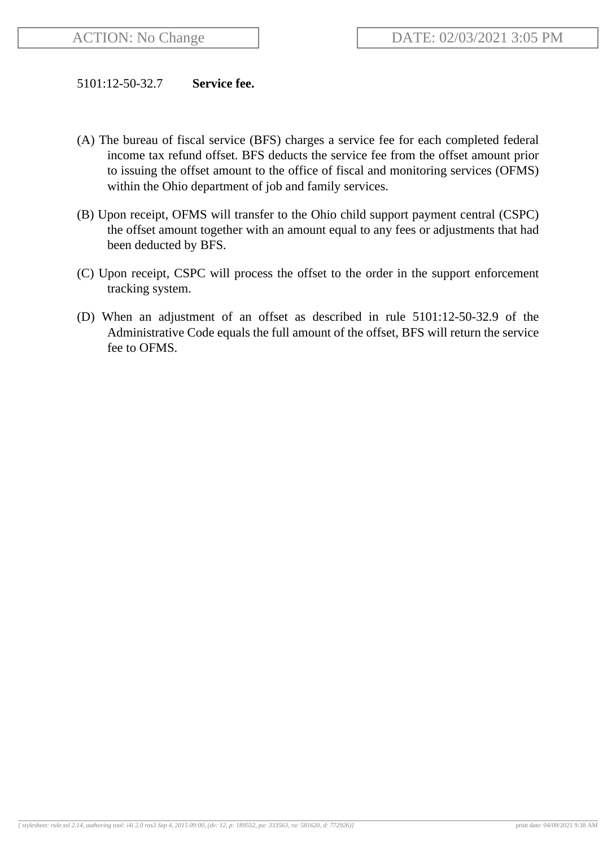### 5101:12-50-32.7 **Service fee.**

- (A) The bureau of fiscal service (BFS) charges a service fee for each completed federal income tax refund offset. BFS deducts the service fee from the offset amount prior to issuing the offset amount to the office of fiscal and monitoring services (OFMS) within the Ohio department of job and family services.
- (B) Upon receipt, OFMS will transfer to the Ohio child support payment central (CSPC) the offset amount together with an amount equal to any fees or adjustments that had been deducted by BFS.
- (C) Upon receipt, CSPC will process the offset to the order in the support enforcement tracking system.
- (D) When an adjustment of an offset as described in rule 5101:12-50-32.9 of the Administrative Code equals the full amount of the offset, BFS will return the service fee to OFMS.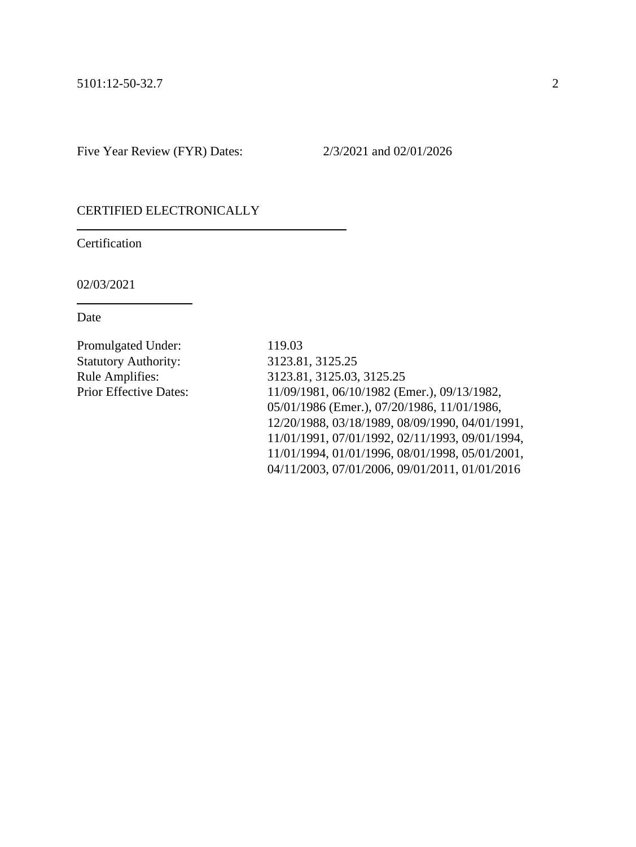#### CERTIFIED ELECTRONICALLY

Certification

02/03/2021

Date

Promulgated Under: 119.03 Statutory Authority: 3123.81, 3125.25

Rule Amplifies: 3123.81, 3125.03, 3125.25 Prior Effective Dates: 11/09/1981, 06/10/1982 (Emer.), 09/13/1982, 05/01/1986 (Emer.), 07/20/1986, 11/01/1986, 12/20/1988, 03/18/1989, 08/09/1990, 04/01/1991, 11/01/1991, 07/01/1992, 02/11/1993, 09/01/1994, 11/01/1994, 01/01/1996, 08/01/1998, 05/01/2001, 04/11/2003, 07/01/2006, 09/01/2011, 01/01/2016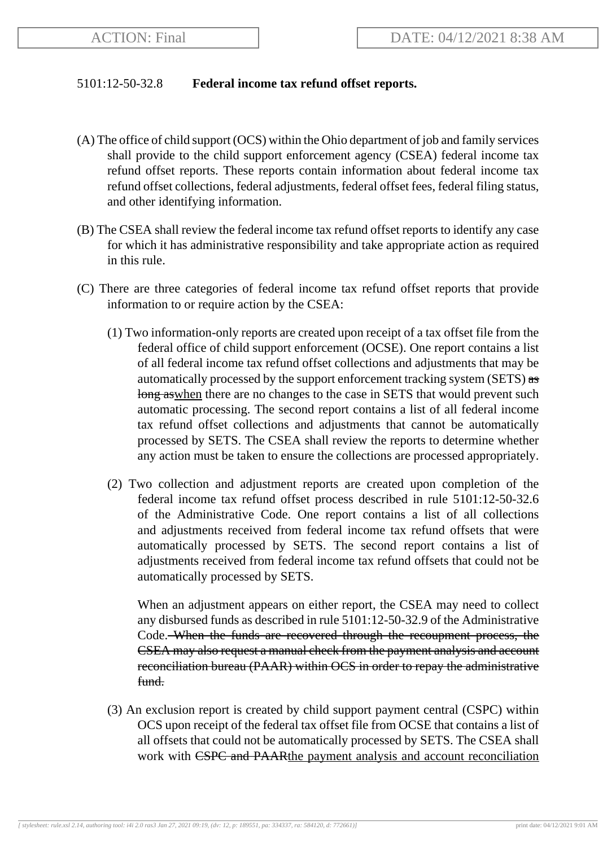## 5101:12-50-32.8 **Federal income tax refund offset reports.**

- (A) The office of child support (OCS) within the Ohio department of job and family services shall provide to the child support enforcement agency (CSEA) federal income tax refund offset reports. These reports contain information about federal income tax refund offset collections, federal adjustments, federal offset fees, federal filing status, and other identifying information.
- (B) The CSEA shall review the federal income tax refund offset reports to identify any case for which it has administrative responsibility and take appropriate action as required in this rule.
- (C) There are three categories of federal income tax refund offset reports that provide information to or require action by the CSEA:
	- (1) Two information-only reports are created upon receipt of a tax offset file from the federal office of child support enforcement (OCSE). One report contains a list of all federal income tax refund offset collections and adjustments that may be automatically processed by the support enforcement tracking system (SETS) as long as when there are no changes to the case in SETS that would prevent such automatic processing. The second report contains a list of all federal income tax refund offset collections and adjustments that cannot be automatically processed by SETS. The CSEA shall review the reports to determine whether any action must be taken to ensure the collections are processed appropriately.
	- (2) Two collection and adjustment reports are created upon completion of the federal income tax refund offset process described in rule 5101:12-50-32.6 of the Administrative Code. One report contains a list of all collections and adjustments received from federal income tax refund offsets that were automatically processed by SETS. The second report contains a list of adjustments received from federal income tax refund offsets that could not be automatically processed by SETS.

When an adjustment appears on either report, the CSEA may need to collect any disbursed funds as described in rule 5101:12-50-32.9 of the Administrative Code. When the funds are recovered through the recoupment process, the CSEA may also request a manual check from the payment analysis and account reconciliation bureau (PAAR) within OCS in order to repay the administrative fund.

(3) An exclusion report is created by child support payment central (CSPC) within OCS upon receipt of the federal tax offset file from OCSE that contains a list of all offsets that could not be automatically processed by SETS. The CSEA shall work with CSPC and PAARthe payment analysis and account reconciliation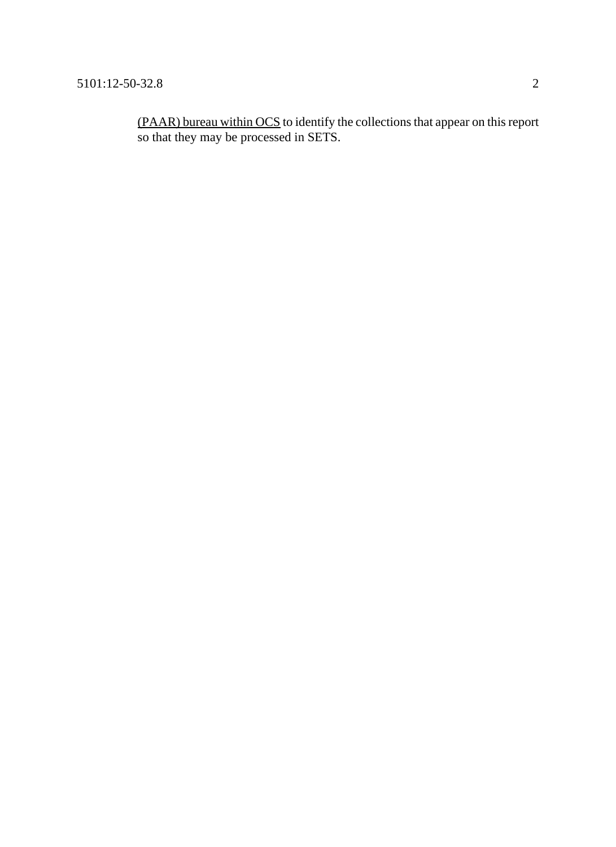(PAAR) bureau within OCS to identify the collections that appear on this report so that they may be processed in SETS.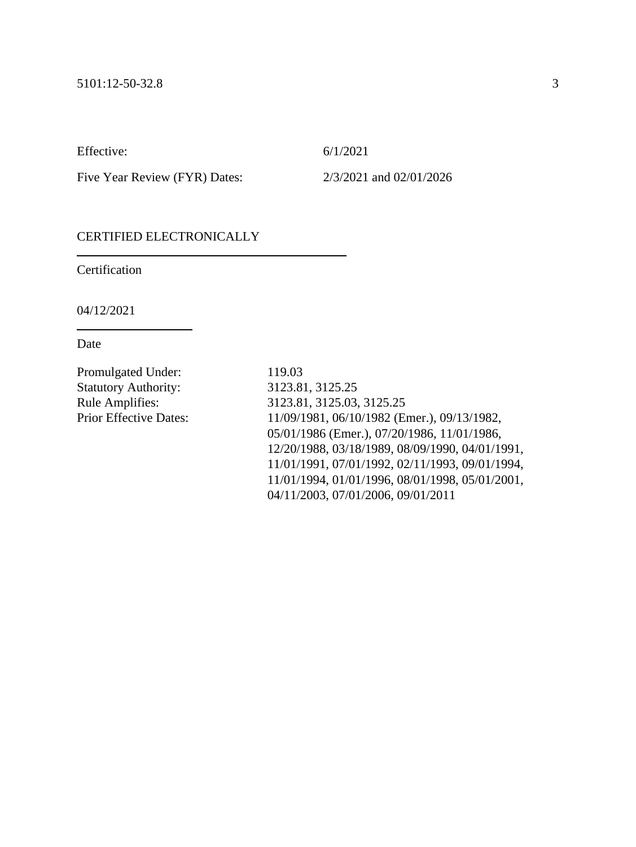Effective: 6/1/2021

Five Year Review (FYR) Dates: 2/3/2021 and 02/01/2026

## CERTIFIED ELECTRONICALLY

**Certification** 

04/12/2021

Date

Promulgated Under: 119.03 Statutory Authority: 3123.81, 3125.25

Rule Amplifies: 3123.81, 3125.03, 3125.25 Prior Effective Dates: 11/09/1981, 06/10/1982 (Emer.), 09/13/1982, 05/01/1986 (Emer.), 07/20/1986, 11/01/1986, 12/20/1988, 03/18/1989, 08/09/1990, 04/01/1991, 11/01/1991, 07/01/1992, 02/11/1993, 09/01/1994, 11/01/1994, 01/01/1996, 08/01/1998, 05/01/2001, 04/11/2003, 07/01/2006, 09/01/2011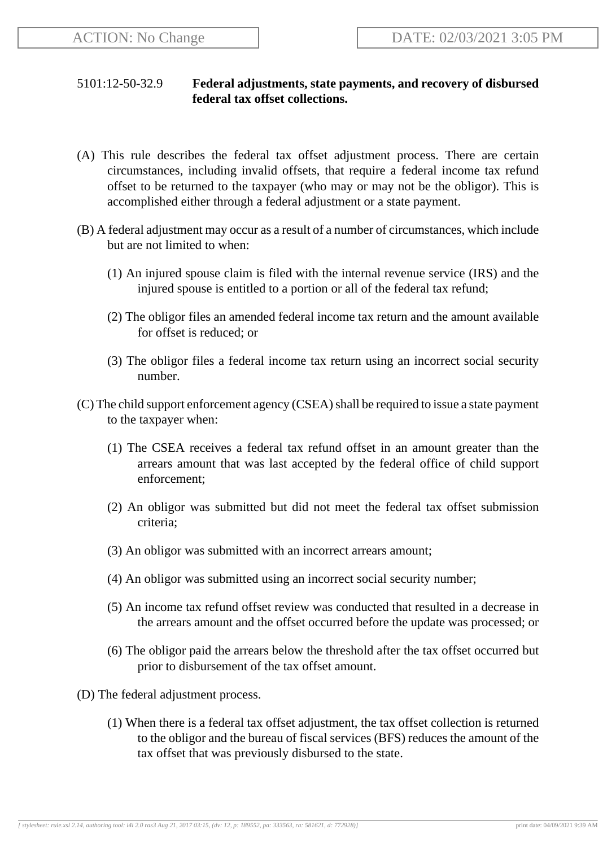# 5101:12-50-32.9 **Federal adjustments, state payments, and recovery of disbursed federal tax offset collections.**

- (A) This rule describes the federal tax offset adjustment process. There are certain circumstances, including invalid offsets, that require a federal income tax refund offset to be returned to the taxpayer (who may or may not be the obligor). This is accomplished either through a federal adjustment or a state payment.
- (B) A federal adjustment may occur as a result of a number of circumstances, which include but are not limited to when:
	- (1) An injured spouse claim is filed with the internal revenue service (IRS) and the injured spouse is entitled to a portion or all of the federal tax refund;
	- (2) The obligor files an amended federal income tax return and the amount available for offset is reduced; or
	- (3) The obligor files a federal income tax return using an incorrect social security number.
- (C) The child support enforcement agency (CSEA) shall be required to issue a state payment to the taxpayer when:
	- (1) The CSEA receives a federal tax refund offset in an amount greater than the arrears amount that was last accepted by the federal office of child support enforcement;
	- (2) An obligor was submitted but did not meet the federal tax offset submission criteria;
	- (3) An obligor was submitted with an incorrect arrears amount;
	- (4) An obligor was submitted using an incorrect social security number;
	- (5) An income tax refund offset review was conducted that resulted in a decrease in the arrears amount and the offset occurred before the update was processed; or
	- (6) The obligor paid the arrears below the threshold after the tax offset occurred but prior to disbursement of the tax offset amount.
- (D) The federal adjustment process.
	- (1) When there is a federal tax offset adjustment, the tax offset collection is returned to the obligor and the bureau of fiscal services (BFS) reduces the amount of the tax offset that was previously disbursed to the state.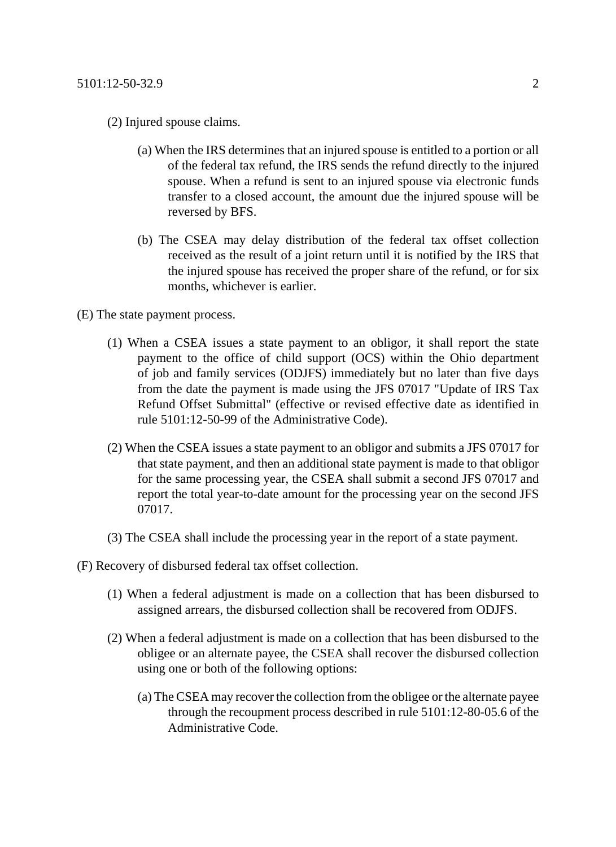- (2) Injured spouse claims.
	- (a) When the IRS determines that an injured spouse is entitled to a portion or all of the federal tax refund, the IRS sends the refund directly to the injured spouse. When a refund is sent to an injured spouse via electronic funds transfer to a closed account, the amount due the injured spouse will be reversed by BFS.
	- (b) The CSEA may delay distribution of the federal tax offset collection received as the result of a joint return until it is notified by the IRS that the injured spouse has received the proper share of the refund, or for six months, whichever is earlier.
- (E) The state payment process.
	- (1) When a CSEA issues a state payment to an obligor, it shall report the state payment to the office of child support (OCS) within the Ohio department of job and family services (ODJFS) immediately but no later than five days from the date the payment is made using the JFS 07017 "Update of IRS Tax Refund Offset Submittal" (effective or revised effective date as identified in rule 5101:12-50-99 of the Administrative Code).
	- (2) When the CSEA issues a state payment to an obligor and submits a JFS 07017 for that state payment, and then an additional state payment is made to that obligor for the same processing year, the CSEA shall submit a second JFS 07017 and report the total year-to-date amount for the processing year on the second JFS 07017.
	- (3) The CSEA shall include the processing year in the report of a state payment.
- (F) Recovery of disbursed federal tax offset collection.
	- (1) When a federal adjustment is made on a collection that has been disbursed to assigned arrears, the disbursed collection shall be recovered from ODJFS.
	- (2) When a federal adjustment is made on a collection that has been disbursed to the obligee or an alternate payee, the CSEA shall recover the disbursed collection using one or both of the following options:
		- (a) The CSEA may recover the collection from the obligee or the alternate payee through the recoupment process described in rule 5101:12-80-05.6 of the Administrative Code.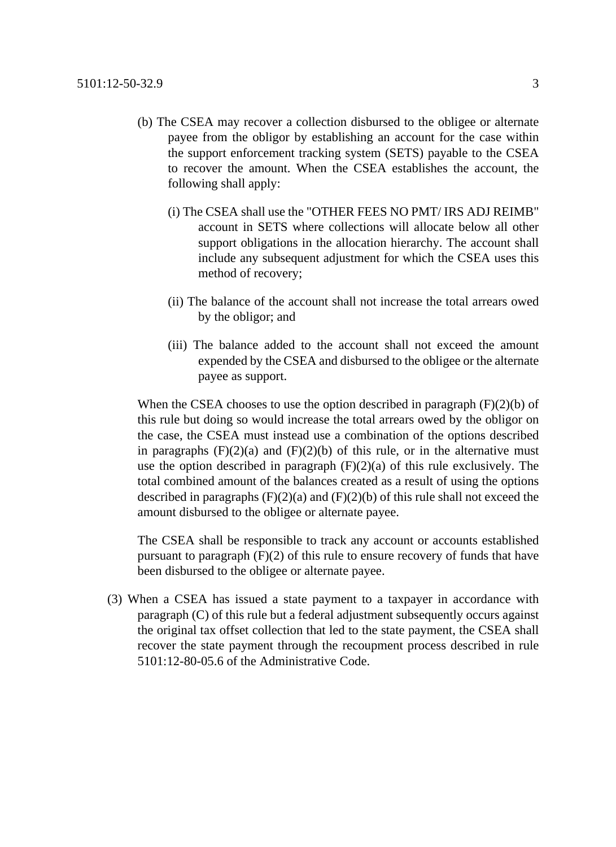- (b) The CSEA may recover a collection disbursed to the obligee or alternate payee from the obligor by establishing an account for the case within the support enforcement tracking system (SETS) payable to the CSEA to recover the amount. When the CSEA establishes the account, the following shall apply:
	- (i) The CSEA shall use the "OTHER FEES NO PMT/ IRS ADJ REIMB" account in SETS where collections will allocate below all other support obligations in the allocation hierarchy. The account shall include any subsequent adjustment for which the CSEA uses this method of recovery;
	- (ii) The balance of the account shall not increase the total arrears owed by the obligor; and
	- (iii) The balance added to the account shall not exceed the amount expended by the CSEA and disbursed to the obligee or the alternate payee as support.

When the CSEA chooses to use the option described in paragraph  $(F)(2)(b)$  of this rule but doing so would increase the total arrears owed by the obligor on the case, the CSEA must instead use a combination of the options described in paragraphs  $(F)(2)(a)$  and  $(F)(2)(b)$  of this rule, or in the alternative must use the option described in paragraph  $(F)(2)(a)$  of this rule exclusively. The total combined amount of the balances created as a result of using the options described in paragraphs  $(F)(2)(a)$  and  $(F)(2)(b)$  of this rule shall not exceed the amount disbursed to the obligee or alternate payee.

The CSEA shall be responsible to track any account or accounts established pursuant to paragraph (F)(2) of this rule to ensure recovery of funds that have been disbursed to the obligee or alternate payee.

(3) When a CSEA has issued a state payment to a taxpayer in accordance with paragraph (C) of this rule but a federal adjustment subsequently occurs against the original tax offset collection that led to the state payment, the CSEA shall recover the state payment through the recoupment process described in rule 5101:12-80-05.6 of the Administrative Code.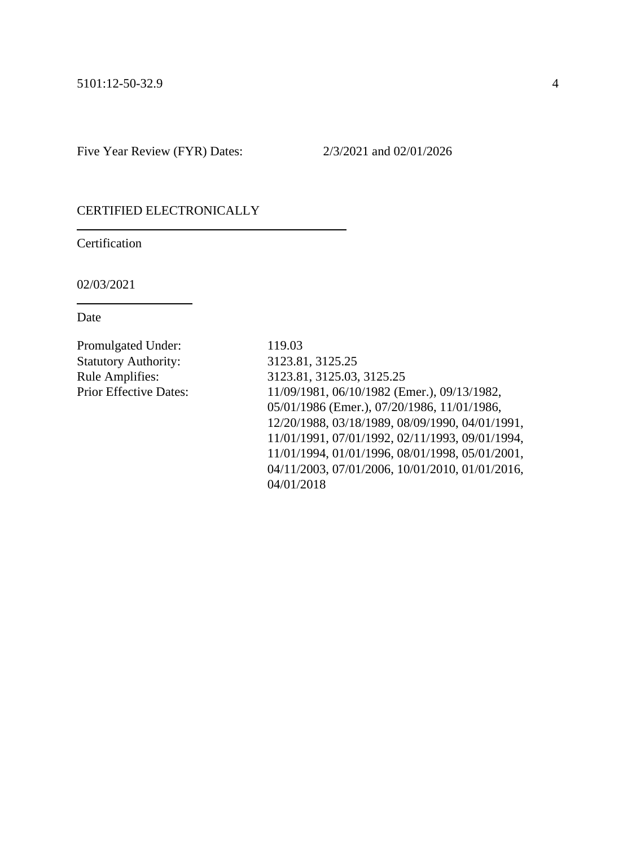#### CERTIFIED ELECTRONICALLY

Certification

02/03/2021

Date

Promulgated Under: 119.03 Statutory Authority: 3123.81, 3125.25

Rule Amplifies: 3123.81, 3125.03, 3125.25 Prior Effective Dates: 11/09/1981, 06/10/1982 (Emer.), 09/13/1982, 05/01/1986 (Emer.), 07/20/1986, 11/01/1986, 12/20/1988, 03/18/1989, 08/09/1990, 04/01/1991, 11/01/1991, 07/01/1992, 02/11/1993, 09/01/1994, 11/01/1994, 01/01/1996, 08/01/1998, 05/01/2001, 04/11/2003, 07/01/2006, 10/01/2010, 01/01/2016, 04/01/2018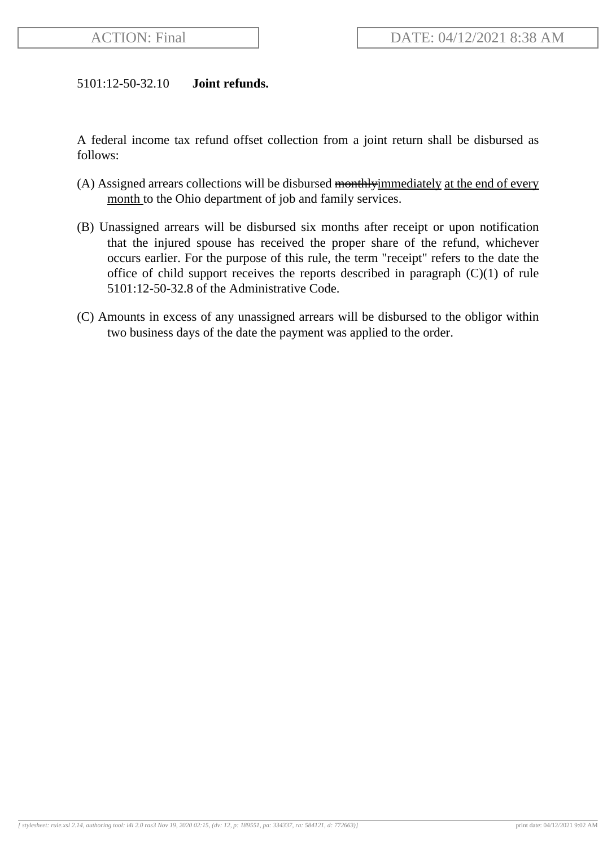### 5101:12-50-32.10 **Joint refunds.**

A federal income tax refund offset collection from a joint return shall be disbursed as follows:

- (A) Assigned arrears collections will be disbursed monthly immediately at the end of every month to the Ohio department of job and family services.
- (B) Unassigned arrears will be disbursed six months after receipt or upon notification that the injured spouse has received the proper share of the refund, whichever occurs earlier. For the purpose of this rule, the term "receipt" refers to the date the office of child support receives the reports described in paragraph (C)(1) of rule 5101:12-50-32.8 of the Administrative Code.
- (C) Amounts in excess of any unassigned arrears will be disbursed to the obligor within two business days of the date the payment was applied to the order.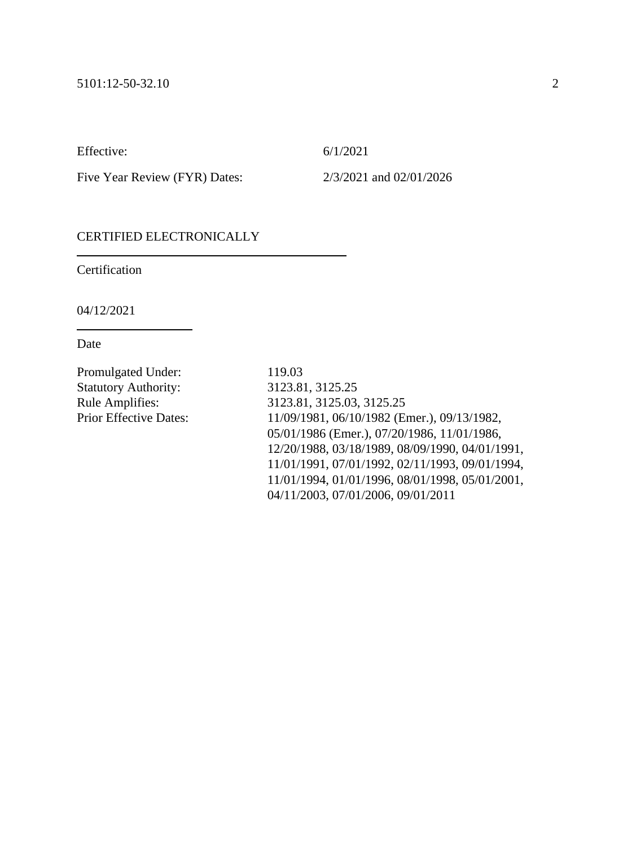Effective: 6/1/2021

Five Year Review (FYR) Dates: 2/3/2021 and 02/01/2026

## CERTIFIED ELECTRONICALLY

**Certification** 

04/12/2021

Date

Promulgated Under: 119.03 Statutory Authority: 3123.81, 3125.25

Rule Amplifies: 3123.81, 3125.03, 3125.25 Prior Effective Dates: 11/09/1981, 06/10/1982 (Emer.), 09/13/1982, 05/01/1986 (Emer.), 07/20/1986, 11/01/1986, 12/20/1988, 03/18/1989, 08/09/1990, 04/01/1991, 11/01/1991, 07/01/1992, 02/11/1993, 09/01/1994, 11/01/1994, 01/01/1996, 08/01/1998, 05/01/2001, 04/11/2003, 07/01/2006, 09/01/2011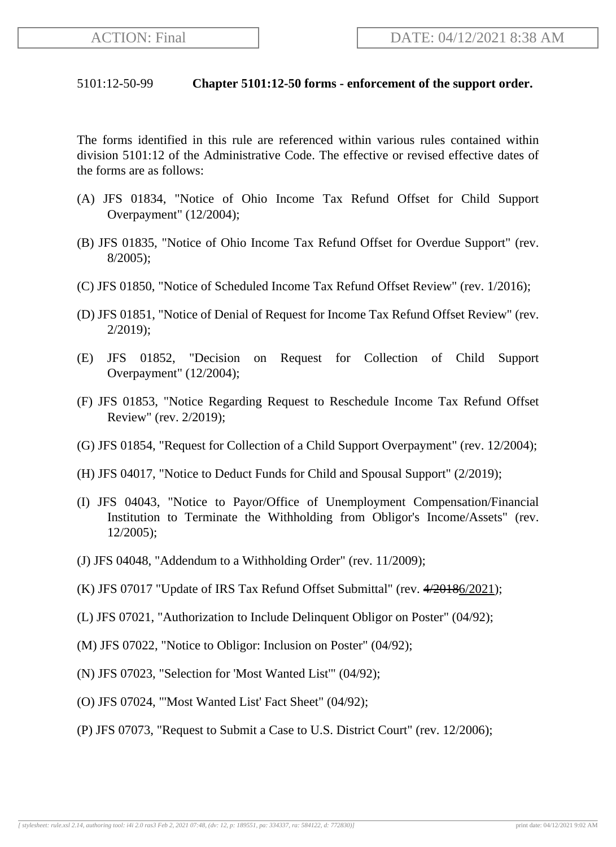### 5101:12-50-99 **Chapter 5101:12-50 forms - enforcement of the support order.**

The forms identified in this rule are referenced within various rules contained within division 5101:12 of the Administrative Code. The effective or revised effective dates of the forms are as follows:

- (A) JFS 01834, "Notice of Ohio Income Tax Refund Offset for Child Support Overpayment" (12/2004);
- (B) JFS 01835, "Notice of Ohio Income Tax Refund Offset for Overdue Support" (rev. 8/2005);
- (C) JFS 01850, "Notice of Scheduled Income Tax Refund Offset Review" (rev. 1/2016);
- (D) JFS 01851, "Notice of Denial of Request for Income Tax Refund Offset Review" (rev. 2/2019);
- (E) JFS 01852, "Decision on Request for Collection of Child Support Overpayment" (12/2004);
- (F) JFS 01853, "Notice Regarding Request to Reschedule Income Tax Refund Offset Review" (rev. 2/2019);
- (G) JFS 01854, "Request for Collection of a Child Support Overpayment" (rev. 12/2004);
- (H) JFS 04017, "Notice to Deduct Funds for Child and Spousal Support" (2/2019);
- (I) JFS 04043, "Notice to Payor/Office of Unemployment Compensation/Financial Institution to Terminate the Withholding from Obligor's Income/Assets" (rev. 12/2005);
- (J) JFS 04048, "Addendum to a Withholding Order" (rev. 11/2009);
- $(K)$  JFS 07017 "Update of IRS Tax Refund Offset Submittal" (rev.  $4/20186/2021$ );
- (L) JFS 07021, "Authorization to Include Delinquent Obligor on Poster" (04/92);
- (M) JFS 07022, "Notice to Obligor: Inclusion on Poster" (04/92);
- (N) JFS 07023, "Selection for 'Most Wanted List'" (04/92);
- (O) JFS 07024, "'Most Wanted List' Fact Sheet" (04/92);
- (P) JFS 07073, "Request to Submit a Case to U.S. District Court" (rev. 12/2006);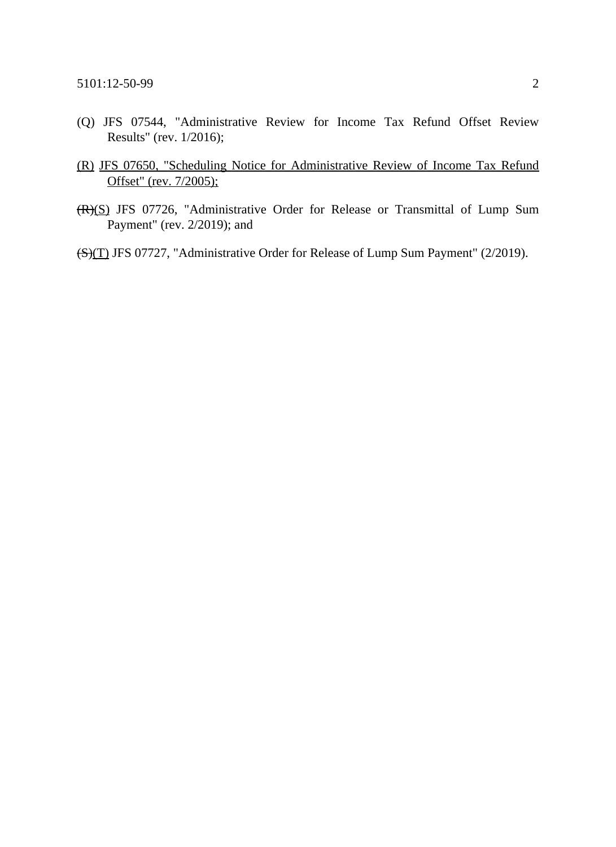- (Q) JFS 07544, "Administrative Review for Income Tax Refund Offset Review Results" (rev. 1/2016);
- (R) JFS 07650, "Scheduling Notice for Administrative Review of Income Tax Refund Offset" (rev. 7/2005);
- (R)(S) JFS 07726, "Administrative Order for Release or Transmittal of Lump Sum Payment" (rev. 2/2019); and
- (S)(T) JFS 07727, "Administrative Order for Release of Lump Sum Payment" (2/2019).